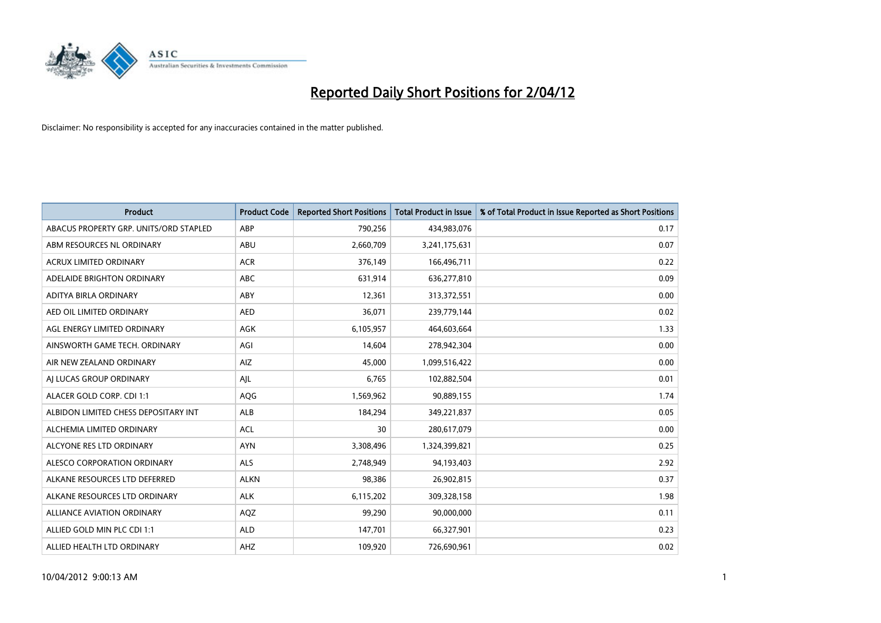

| <b>Product</b>                         | <b>Product Code</b> | <b>Reported Short Positions</b> | <b>Total Product in Issue</b> | % of Total Product in Issue Reported as Short Positions |
|----------------------------------------|---------------------|---------------------------------|-------------------------------|---------------------------------------------------------|
| ABACUS PROPERTY GRP. UNITS/ORD STAPLED | ABP                 | 790,256                         | 434,983,076                   | 0.17                                                    |
| ABM RESOURCES NL ORDINARY              | ABU                 | 2,660,709                       | 3,241,175,631                 | 0.07                                                    |
| <b>ACRUX LIMITED ORDINARY</b>          | <b>ACR</b>          | 376,149                         | 166,496,711                   | 0.22                                                    |
| ADELAIDE BRIGHTON ORDINARY             | <b>ABC</b>          | 631,914                         | 636,277,810                   | 0.09                                                    |
| ADITYA BIRLA ORDINARY                  | ABY                 | 12,361                          | 313,372,551                   | 0.00                                                    |
| AED OIL LIMITED ORDINARY               | <b>AED</b>          | 36,071                          | 239,779,144                   | 0.02                                                    |
| AGL ENERGY LIMITED ORDINARY            | AGK                 | 6,105,957                       | 464,603,664                   | 1.33                                                    |
| AINSWORTH GAME TECH. ORDINARY          | AGI                 | 14,604                          | 278,942,304                   | 0.00                                                    |
| AIR NEW ZEALAND ORDINARY               | AIZ                 | 45,000                          | 1,099,516,422                 | 0.00                                                    |
| AI LUCAS GROUP ORDINARY                | AJL                 | 6,765                           | 102,882,504                   | 0.01                                                    |
| ALACER GOLD CORP. CDI 1:1              | AQG                 | 1,569,962                       | 90,889,155                    | 1.74                                                    |
| ALBIDON LIMITED CHESS DEPOSITARY INT   | ALB                 | 184,294                         | 349,221,837                   | 0.05                                                    |
| ALCHEMIA LIMITED ORDINARY              | <b>ACL</b>          | 30                              | 280,617,079                   | 0.00                                                    |
| ALCYONE RES LTD ORDINARY               | <b>AYN</b>          | 3,308,496                       | 1,324,399,821                 | 0.25                                                    |
| ALESCO CORPORATION ORDINARY            | <b>ALS</b>          | 2,748,949                       | 94,193,403                    | 2.92                                                    |
| ALKANE RESOURCES LTD DEFERRED          | <b>ALKN</b>         | 98,386                          | 26,902,815                    | 0.37                                                    |
| ALKANE RESOURCES LTD ORDINARY          | <b>ALK</b>          | 6,115,202                       | 309,328,158                   | 1.98                                                    |
| <b>ALLIANCE AVIATION ORDINARY</b>      | AQZ                 | 99,290                          | 90,000,000                    | 0.11                                                    |
| ALLIED GOLD MIN PLC CDI 1:1            | <b>ALD</b>          | 147,701                         | 66,327,901                    | 0.23                                                    |
| ALLIED HEALTH LTD ORDINARY             | AHZ                 | 109,920                         | 726,690,961                   | 0.02                                                    |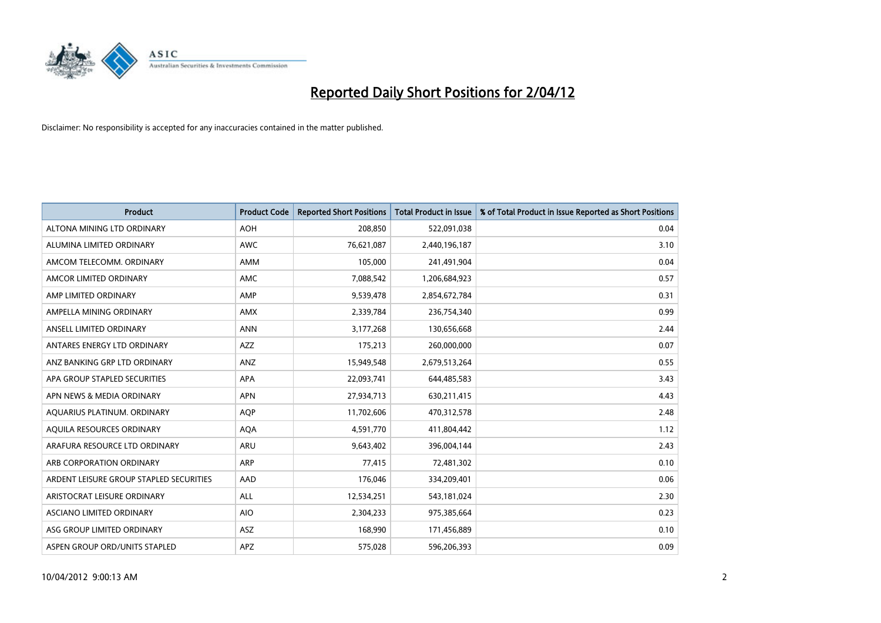

| <b>Product</b>                          | <b>Product Code</b> | <b>Reported Short Positions</b> | <b>Total Product in Issue</b> | % of Total Product in Issue Reported as Short Positions |
|-----------------------------------------|---------------------|---------------------------------|-------------------------------|---------------------------------------------------------|
| ALTONA MINING LTD ORDINARY              | <b>AOH</b>          | 208,850                         | 522,091,038                   | 0.04                                                    |
| ALUMINA LIMITED ORDINARY                | <b>AWC</b>          | 76,621,087                      | 2,440,196,187                 | 3.10                                                    |
| AMCOM TELECOMM, ORDINARY                | AMM                 | 105,000                         | 241,491,904                   | 0.04                                                    |
| AMCOR LIMITED ORDINARY                  | AMC                 | 7,088,542                       | 1,206,684,923                 | 0.57                                                    |
| AMP LIMITED ORDINARY                    | AMP                 | 9,539,478                       | 2,854,672,784                 | 0.31                                                    |
| AMPELLA MINING ORDINARY                 | AMX                 | 2,339,784                       | 236,754,340                   | 0.99                                                    |
| ANSELL LIMITED ORDINARY                 | <b>ANN</b>          | 3,177,268                       | 130,656,668                   | 2.44                                                    |
| ANTARES ENERGY LTD ORDINARY             | AZZ                 | 175,213                         | 260,000,000                   | 0.07                                                    |
| ANZ BANKING GRP LTD ORDINARY            | ANZ                 | 15,949,548                      | 2,679,513,264                 | 0.55                                                    |
| APA GROUP STAPLED SECURITIES            | <b>APA</b>          | 22,093,741                      | 644,485,583                   | 3.43                                                    |
| APN NEWS & MEDIA ORDINARY               | <b>APN</b>          | 27,934,713                      | 630,211,415                   | 4.43                                                    |
| AQUARIUS PLATINUM. ORDINARY             | AQP                 | 11,702,606                      | 470,312,578                   | 2.48                                                    |
| AQUILA RESOURCES ORDINARY               | <b>AQA</b>          | 4,591,770                       | 411,804,442                   | 1.12                                                    |
| ARAFURA RESOURCE LTD ORDINARY           | <b>ARU</b>          | 9,643,402                       | 396,004,144                   | 2.43                                                    |
| ARB CORPORATION ORDINARY                | ARP                 | 77,415                          | 72,481,302                    | 0.10                                                    |
| ARDENT LEISURE GROUP STAPLED SECURITIES | <b>AAD</b>          | 176,046                         | 334,209,401                   | 0.06                                                    |
| ARISTOCRAT LEISURE ORDINARY             | <b>ALL</b>          | 12,534,251                      | 543,181,024                   | 2.30                                                    |
| ASCIANO LIMITED ORDINARY                | <b>AIO</b>          | 2,304,233                       | 975,385,664                   | 0.23                                                    |
| ASG GROUP LIMITED ORDINARY              | ASZ                 | 168,990                         | 171,456,889                   | 0.10                                                    |
| ASPEN GROUP ORD/UNITS STAPLED           | APZ                 | 575,028                         | 596,206,393                   | 0.09                                                    |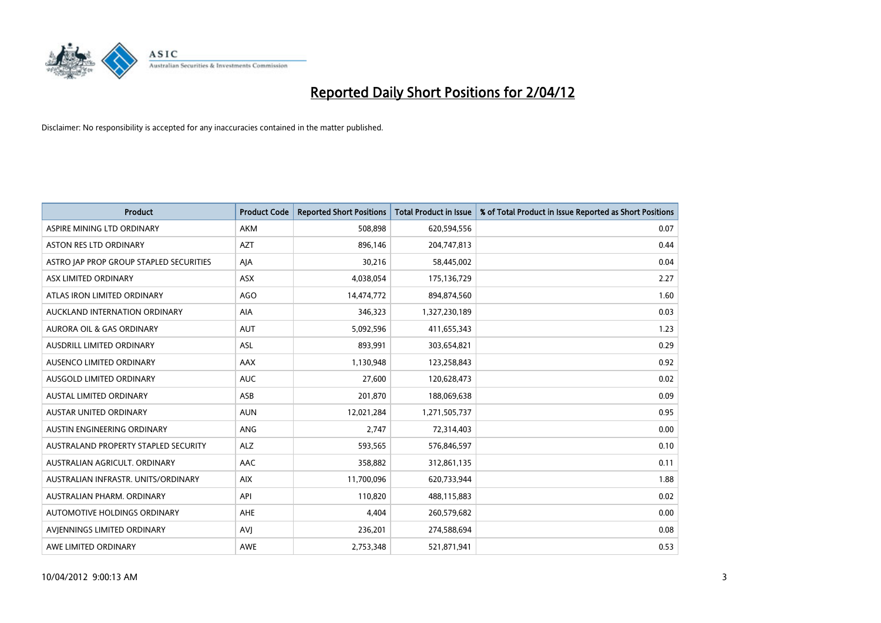

| <b>Product</b>                          | <b>Product Code</b> | <b>Reported Short Positions</b> | <b>Total Product in Issue</b> | % of Total Product in Issue Reported as Short Positions |
|-----------------------------------------|---------------------|---------------------------------|-------------------------------|---------------------------------------------------------|
| ASPIRE MINING LTD ORDINARY              | <b>AKM</b>          | 508,898                         | 620,594,556                   | 0.07                                                    |
| ASTON RES LTD ORDINARY                  | <b>AZT</b>          | 896,146                         | 204,747,813                   | 0.44                                                    |
| ASTRO JAP PROP GROUP STAPLED SECURITIES | AJA                 | 30,216                          | 58,445,002                    | 0.04                                                    |
| ASX LIMITED ORDINARY                    | ASX                 | 4,038,054                       | 175,136,729                   | 2.27                                                    |
| ATLAS IRON LIMITED ORDINARY             | AGO                 | 14,474,772                      | 894,874,560                   | 1.60                                                    |
| AUCKLAND INTERNATION ORDINARY           | AIA                 | 346,323                         | 1,327,230,189                 | 0.03                                                    |
| AURORA OIL & GAS ORDINARY               | <b>AUT</b>          | 5,092,596                       | 411,655,343                   | 1.23                                                    |
| AUSDRILL LIMITED ORDINARY               | ASL                 | 893,991                         | 303,654,821                   | 0.29                                                    |
| AUSENCO LIMITED ORDINARY                | AAX                 | 1,130,948                       | 123,258,843                   | 0.92                                                    |
| AUSGOLD LIMITED ORDINARY                | <b>AUC</b>          | 27,600                          | 120,628,473                   | 0.02                                                    |
| AUSTAL LIMITED ORDINARY                 | ASB                 | 201,870                         | 188,069,638                   | 0.09                                                    |
| AUSTAR UNITED ORDINARY                  | <b>AUN</b>          | 12,021,284                      | 1,271,505,737                 | 0.95                                                    |
| AUSTIN ENGINEERING ORDINARY             | ANG                 | 2,747                           | 72,314,403                    | 0.00                                                    |
| AUSTRALAND PROPERTY STAPLED SECURITY    | <b>ALZ</b>          | 593,565                         | 576,846,597                   | 0.10                                                    |
| AUSTRALIAN AGRICULT, ORDINARY           | AAC                 | 358,882                         | 312,861,135                   | 0.11                                                    |
| AUSTRALIAN INFRASTR. UNITS/ORDINARY     | <b>AIX</b>          | 11,700,096                      | 620,733,944                   | 1.88                                                    |
| AUSTRALIAN PHARM. ORDINARY              | API                 | 110,820                         | 488,115,883                   | 0.02                                                    |
| AUTOMOTIVE HOLDINGS ORDINARY            | AHE                 | 4,404                           | 260,579,682                   | 0.00                                                    |
| AVIENNINGS LIMITED ORDINARY             | <b>AVJ</b>          | 236,201                         | 274,588,694                   | 0.08                                                    |
| AWE LIMITED ORDINARY                    | <b>AWE</b>          | 2,753,348                       | 521,871,941                   | 0.53                                                    |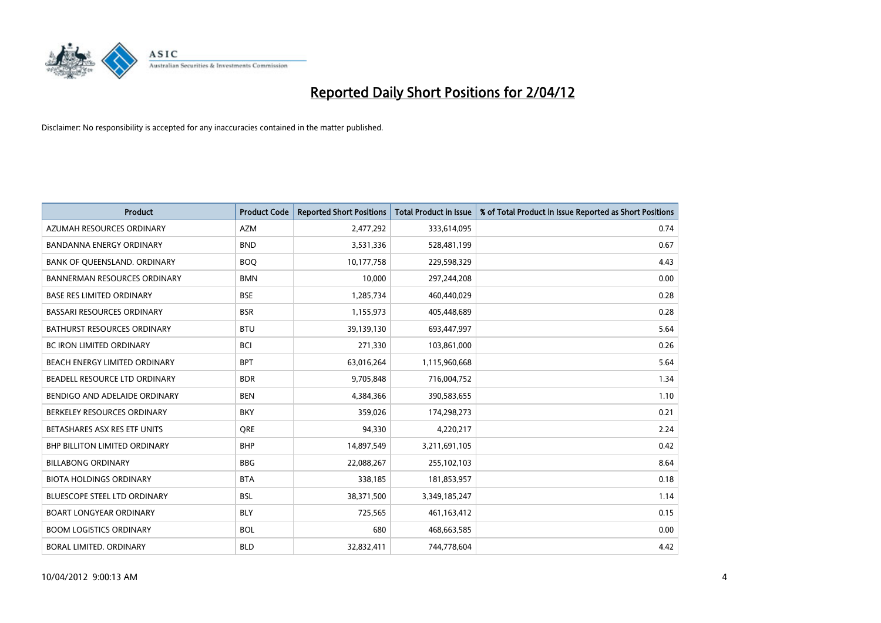

| <b>Product</b>                       | <b>Product Code</b> | <b>Reported Short Positions</b> | <b>Total Product in Issue</b> | % of Total Product in Issue Reported as Short Positions |
|--------------------------------------|---------------------|---------------------------------|-------------------------------|---------------------------------------------------------|
| AZUMAH RESOURCES ORDINARY            | <b>AZM</b>          | 2,477,292                       | 333,614,095                   | 0.74                                                    |
| BANDANNA ENERGY ORDINARY             | <b>BND</b>          | 3,531,336                       | 528,481,199                   | 0.67                                                    |
| BANK OF QUEENSLAND. ORDINARY         | <b>BOQ</b>          | 10,177,758                      | 229,598,329                   | 4.43                                                    |
| <b>BANNERMAN RESOURCES ORDINARY</b>  | <b>BMN</b>          | 10,000                          | 297,244,208                   | 0.00                                                    |
| <b>BASE RES LIMITED ORDINARY</b>     | <b>BSE</b>          | 1,285,734                       | 460,440,029                   | 0.28                                                    |
| <b>BASSARI RESOURCES ORDINARY</b>    | <b>BSR</b>          | 1,155,973                       | 405,448,689                   | 0.28                                                    |
| BATHURST RESOURCES ORDINARY          | <b>BTU</b>          | 39,139,130                      | 693,447,997                   | 5.64                                                    |
| BC IRON LIMITED ORDINARY             | <b>BCI</b>          | 271,330                         | 103,861,000                   | 0.26                                                    |
| BEACH ENERGY LIMITED ORDINARY        | <b>BPT</b>          | 63,016,264                      | 1,115,960,668                 | 5.64                                                    |
| BEADELL RESOURCE LTD ORDINARY        | <b>BDR</b>          | 9,705,848                       | 716,004,752                   | 1.34                                                    |
| BENDIGO AND ADELAIDE ORDINARY        | <b>BEN</b>          | 4,384,366                       | 390,583,655                   | 1.10                                                    |
| BERKELEY RESOURCES ORDINARY          | <b>BKY</b>          | 359,026                         | 174,298,273                   | 0.21                                                    |
| BETASHARES ASX RES ETF UNITS         | <b>ORE</b>          | 94,330                          | 4,220,217                     | 2.24                                                    |
| <b>BHP BILLITON LIMITED ORDINARY</b> | <b>BHP</b>          | 14,897,549                      | 3,211,691,105                 | 0.42                                                    |
| <b>BILLABONG ORDINARY</b>            | <b>BBG</b>          | 22,088,267                      | 255,102,103                   | 8.64                                                    |
| <b>BIOTA HOLDINGS ORDINARY</b>       | <b>BTA</b>          | 338,185                         | 181,853,957                   | 0.18                                                    |
| BLUESCOPE STEEL LTD ORDINARY         | <b>BSL</b>          | 38,371,500                      | 3,349,185,247                 | 1.14                                                    |
| <b>BOART LONGYEAR ORDINARY</b>       | <b>BLY</b>          | 725,565                         | 461,163,412                   | 0.15                                                    |
| <b>BOOM LOGISTICS ORDINARY</b>       | <b>BOL</b>          | 680                             | 468,663,585                   | 0.00                                                    |
| BORAL LIMITED. ORDINARY              | <b>BLD</b>          | 32,832,411                      | 744,778,604                   | 4.42                                                    |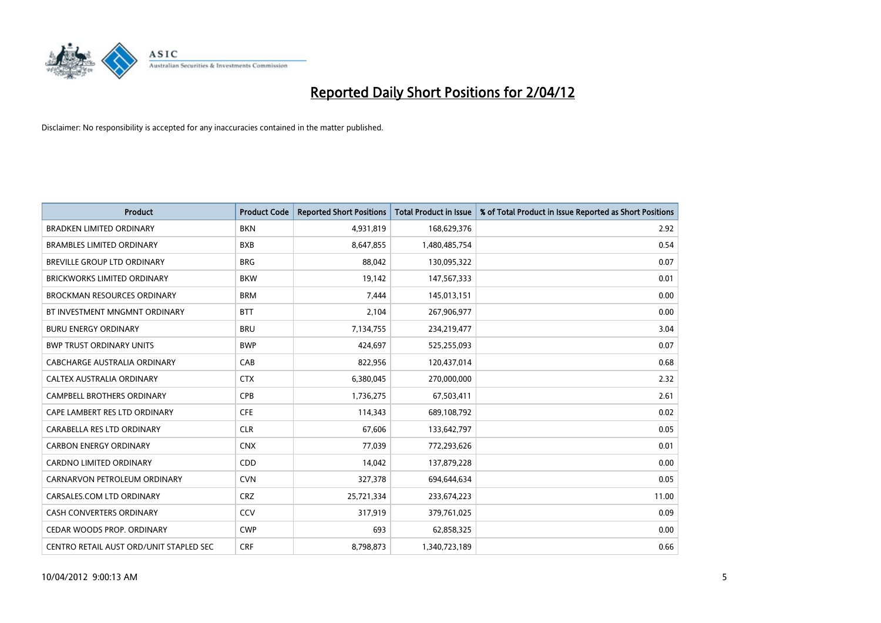

| <b>Product</b>                          | <b>Product Code</b> | <b>Reported Short Positions</b> | <b>Total Product in Issue</b> | % of Total Product in Issue Reported as Short Positions |
|-----------------------------------------|---------------------|---------------------------------|-------------------------------|---------------------------------------------------------|
| BRADKEN LIMITED ORDINARY                | <b>BKN</b>          | 4,931,819                       | 168,629,376                   | 2.92                                                    |
| <b>BRAMBLES LIMITED ORDINARY</b>        | <b>BXB</b>          | 8,647,855                       | 1,480,485,754                 | 0.54                                                    |
| <b>BREVILLE GROUP LTD ORDINARY</b>      | <b>BRG</b>          | 88,042                          | 130,095,322                   | 0.07                                                    |
| BRICKWORKS LIMITED ORDINARY             | <b>BKW</b>          | 19,142                          | 147,567,333                   | 0.01                                                    |
| <b>BROCKMAN RESOURCES ORDINARY</b>      | <b>BRM</b>          | 7,444                           | 145,013,151                   | 0.00                                                    |
| BT INVESTMENT MNGMNT ORDINARY           | <b>BTT</b>          | 2,104                           | 267,906,977                   | 0.00                                                    |
| <b>BURU ENERGY ORDINARY</b>             | <b>BRU</b>          | 7,134,755                       | 234,219,477                   | 3.04                                                    |
| <b>BWP TRUST ORDINARY UNITS</b>         | <b>BWP</b>          | 424,697                         | 525,255,093                   | 0.07                                                    |
| CABCHARGE AUSTRALIA ORDINARY            | CAB                 | 822,956                         | 120,437,014                   | 0.68                                                    |
| CALTEX AUSTRALIA ORDINARY               | <b>CTX</b>          | 6,380,045                       | 270,000,000                   | 2.32                                                    |
| CAMPBELL BROTHERS ORDINARY              | <b>CPB</b>          | 1,736,275                       | 67,503,411                    | 2.61                                                    |
| CAPE LAMBERT RES LTD ORDINARY           | <b>CFE</b>          | 114,343                         | 689,108,792                   | 0.02                                                    |
| CARABELLA RES LTD ORDINARY              | <b>CLR</b>          | 67,606                          | 133,642,797                   | 0.05                                                    |
| <b>CARBON ENERGY ORDINARY</b>           | <b>CNX</b>          | 77,039                          | 772,293,626                   | 0.01                                                    |
| <b>CARDNO LIMITED ORDINARY</b>          | CDD                 | 14,042                          | 137,879,228                   | 0.00                                                    |
| CARNARVON PETROLEUM ORDINARY            | <b>CVN</b>          | 327,378                         | 694,644,634                   | 0.05                                                    |
| CARSALES.COM LTD ORDINARY               | <b>CRZ</b>          | 25,721,334                      | 233,674,223                   | 11.00                                                   |
| CASH CONVERTERS ORDINARY                | CCV                 | 317,919                         | 379,761,025                   | 0.09                                                    |
| CEDAR WOODS PROP. ORDINARY              | <b>CWP</b>          | 693                             | 62,858,325                    | 0.00                                                    |
| CENTRO RETAIL AUST ORD/UNIT STAPLED SEC | <b>CRF</b>          | 8,798,873                       | 1,340,723,189                 | 0.66                                                    |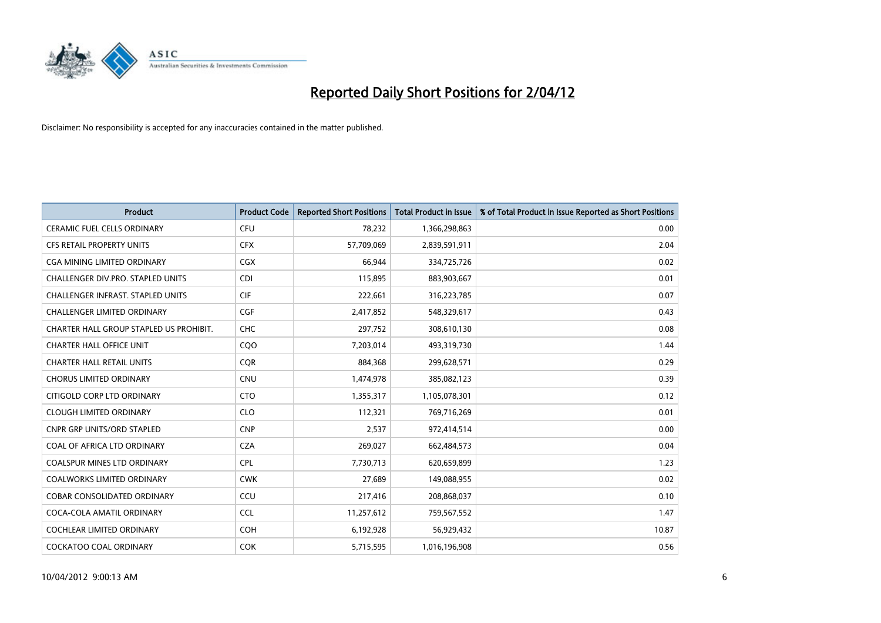

| <b>Product</b>                           | <b>Product Code</b> | <b>Reported Short Positions</b> | <b>Total Product in Issue</b> | % of Total Product in Issue Reported as Short Positions |
|------------------------------------------|---------------------|---------------------------------|-------------------------------|---------------------------------------------------------|
| <b>CERAMIC FUEL CELLS ORDINARY</b>       | <b>CFU</b>          | 78,232                          | 1,366,298,863                 | 0.00                                                    |
| CFS RETAIL PROPERTY UNITS                | <b>CFX</b>          | 57,709,069                      | 2,839,591,911                 | 2.04                                                    |
| CGA MINING LIMITED ORDINARY              | CGX                 | 66,944                          | 334,725,726                   | 0.02                                                    |
| CHALLENGER DIV.PRO. STAPLED UNITS        | <b>CDI</b>          | 115,895                         | 883,903,667                   | 0.01                                                    |
| <b>CHALLENGER INFRAST, STAPLED UNITS</b> | <b>CIF</b>          | 222,661                         | 316,223,785                   | 0.07                                                    |
| <b>CHALLENGER LIMITED ORDINARY</b>       | CGF                 | 2,417,852                       | 548,329,617                   | 0.43                                                    |
| CHARTER HALL GROUP STAPLED US PROHIBIT.  | <b>CHC</b>          | 297,752                         | 308,610,130                   | 0.08                                                    |
| <b>CHARTER HALL OFFICE UNIT</b>          | CQO                 | 7,203,014                       | 493,319,730                   | 1.44                                                    |
| <b>CHARTER HALL RETAIL UNITS</b>         | <b>CQR</b>          | 884,368                         | 299,628,571                   | 0.29                                                    |
| <b>CHORUS LIMITED ORDINARY</b>           | <b>CNU</b>          | 1,474,978                       | 385,082,123                   | 0.39                                                    |
| CITIGOLD CORP LTD ORDINARY               | <b>CTO</b>          | 1,355,317                       | 1,105,078,301                 | 0.12                                                    |
| <b>CLOUGH LIMITED ORDINARY</b>           | <b>CLO</b>          | 112,321                         | 769,716,269                   | 0.01                                                    |
| <b>CNPR GRP UNITS/ORD STAPLED</b>        | <b>CNP</b>          | 2,537                           | 972,414,514                   | 0.00                                                    |
| COAL OF AFRICA LTD ORDINARY              | <b>CZA</b>          | 269,027                         | 662,484,573                   | 0.04                                                    |
| <b>COALSPUR MINES LTD ORDINARY</b>       | <b>CPL</b>          | 7,730,713                       | 620,659,899                   | 1.23                                                    |
| COALWORKS LIMITED ORDINARY               | <b>CWK</b>          | 27,689                          | 149,088,955                   | 0.02                                                    |
| COBAR CONSOLIDATED ORDINARY              | CCU                 | 217,416                         | 208,868,037                   | 0.10                                                    |
| COCA-COLA AMATIL ORDINARY                | <b>CCL</b>          | 11,257,612                      | 759,567,552                   | 1.47                                                    |
| <b>COCHLEAR LIMITED ORDINARY</b>         | <b>COH</b>          | 6,192,928                       | 56,929,432                    | 10.87                                                   |
| <b>COCKATOO COAL ORDINARY</b>            | <b>COK</b>          | 5,715,595                       | 1,016,196,908                 | 0.56                                                    |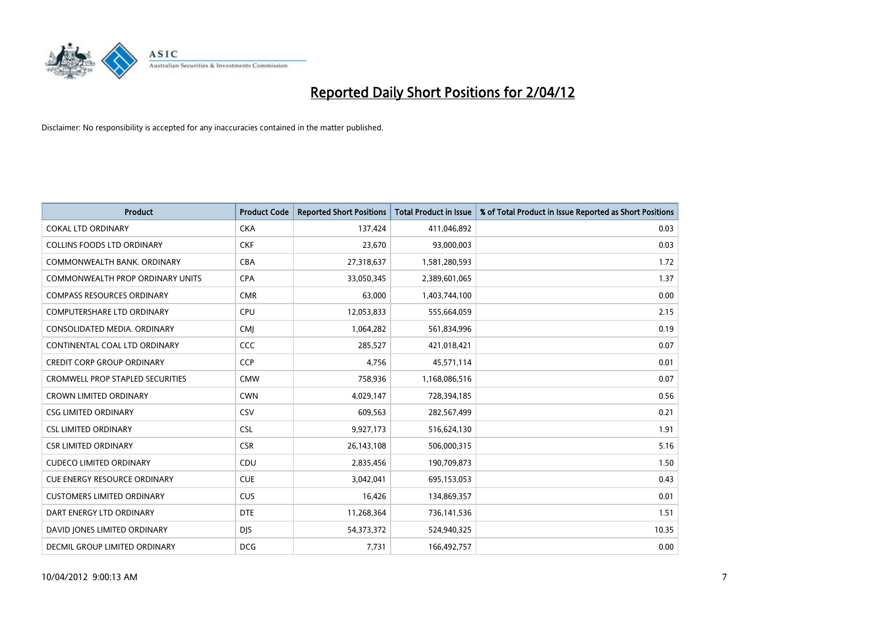

| <b>Product</b>                          | <b>Product Code</b> | <b>Reported Short Positions</b> | <b>Total Product in Issue</b> | % of Total Product in Issue Reported as Short Positions |
|-----------------------------------------|---------------------|---------------------------------|-------------------------------|---------------------------------------------------------|
| <b>COKAL LTD ORDINARY</b>               | <b>CKA</b>          | 137,424                         | 411,046,892                   | 0.03                                                    |
| COLLINS FOODS LTD ORDINARY              | <b>CKF</b>          | 23,670                          | 93,000,003                    | 0.03                                                    |
| COMMONWEALTH BANK, ORDINARY             | <b>CBA</b>          | 27,318,637                      | 1,581,280,593                 | 1.72                                                    |
| COMMONWEALTH PROP ORDINARY UNITS        | <b>CPA</b>          | 33,050,345                      | 2,389,601,065                 | 1.37                                                    |
| <b>COMPASS RESOURCES ORDINARY</b>       | <b>CMR</b>          | 63,000                          | 1,403,744,100                 | 0.00                                                    |
| <b>COMPUTERSHARE LTD ORDINARY</b>       | <b>CPU</b>          | 12,053,833                      | 555,664,059                   | 2.15                                                    |
| CONSOLIDATED MEDIA, ORDINARY            | <b>CMI</b>          | 1,064,282                       | 561,834,996                   | 0.19                                                    |
| CONTINENTAL COAL LTD ORDINARY           | <b>CCC</b>          | 285,527                         | 421,018,421                   | 0.07                                                    |
| <b>CREDIT CORP GROUP ORDINARY</b>       | CCP                 | 4,756                           | 45,571,114                    | 0.01                                                    |
| <b>CROMWELL PROP STAPLED SECURITIES</b> | <b>CMW</b>          | 758,936                         | 1,168,086,516                 | 0.07                                                    |
| <b>CROWN LIMITED ORDINARY</b>           | <b>CWN</b>          | 4,029,147                       | 728,394,185                   | 0.56                                                    |
| <b>CSG LIMITED ORDINARY</b>             | <b>CSV</b>          | 609,563                         | 282,567,499                   | 0.21                                                    |
| <b>CSL LIMITED ORDINARY</b>             | <b>CSL</b>          | 9,927,173                       | 516,624,130                   | 1.91                                                    |
| <b>CSR LIMITED ORDINARY</b>             | <b>CSR</b>          | 26,143,108                      | 506,000,315                   | 5.16                                                    |
| <b>CUDECO LIMITED ORDINARY</b>          | CDU                 | 2,835,456                       | 190,709,873                   | 1.50                                                    |
| <b>CUE ENERGY RESOURCE ORDINARY</b>     | <b>CUE</b>          | 3,042,041                       | 695,153,053                   | 0.43                                                    |
| <b>CUSTOMERS LIMITED ORDINARY</b>       | <b>CUS</b>          | 16,426                          | 134,869,357                   | 0.01                                                    |
| DART ENERGY LTD ORDINARY                | <b>DTE</b>          | 11,268,364                      | 736,141,536                   | 1.51                                                    |
| DAVID JONES LIMITED ORDINARY            | <b>DJS</b>          | 54, 373, 372                    | 524,940,325                   | 10.35                                                   |
| DECMIL GROUP LIMITED ORDINARY           | <b>DCG</b>          | 7,731                           | 166,492,757                   | 0.00                                                    |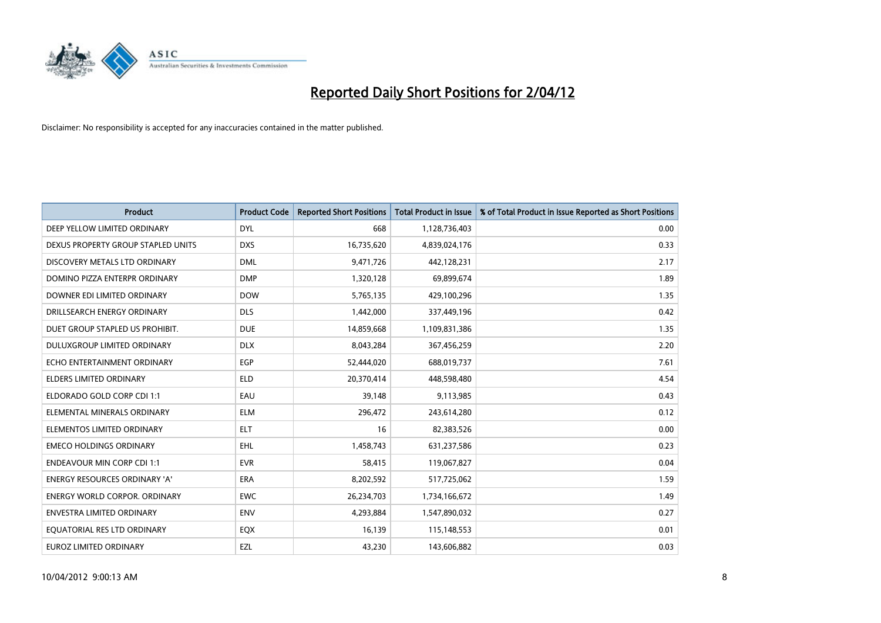

| <b>Product</b>                     | <b>Product Code</b> | <b>Reported Short Positions</b> | <b>Total Product in Issue</b> | % of Total Product in Issue Reported as Short Positions |
|------------------------------------|---------------------|---------------------------------|-------------------------------|---------------------------------------------------------|
| DEEP YELLOW LIMITED ORDINARY       | <b>DYL</b>          | 668                             | 1,128,736,403                 | 0.00                                                    |
| DEXUS PROPERTY GROUP STAPLED UNITS | <b>DXS</b>          | 16,735,620                      | 4,839,024,176                 | 0.33                                                    |
| DISCOVERY METALS LTD ORDINARY      | <b>DML</b>          | 9,471,726                       | 442,128,231                   | 2.17                                                    |
| DOMINO PIZZA ENTERPR ORDINARY      | <b>DMP</b>          | 1,320,128                       | 69,899,674                    | 1.89                                                    |
| DOWNER EDI LIMITED ORDINARY        | <b>DOW</b>          | 5,765,135                       | 429,100,296                   | 1.35                                                    |
| DRILLSEARCH ENERGY ORDINARY        | <b>DLS</b>          | 1,442,000                       | 337,449,196                   | 0.42                                                    |
| DUET GROUP STAPLED US PROHIBIT.    | <b>DUE</b>          | 14,859,668                      | 1,109,831,386                 | 1.35                                                    |
| DULUXGROUP LIMITED ORDINARY        | <b>DLX</b>          | 8,043,284                       | 367,456,259                   | 2.20                                                    |
| ECHO ENTERTAINMENT ORDINARY        | <b>EGP</b>          | 52,444,020                      | 688,019,737                   | 7.61                                                    |
| <b>ELDERS LIMITED ORDINARY</b>     | <b>ELD</b>          | 20,370,414                      | 448,598,480                   | 4.54                                                    |
| ELDORADO GOLD CORP CDI 1:1         | EAU                 | 39,148                          | 9,113,985                     | 0.43                                                    |
| ELEMENTAL MINERALS ORDINARY        | <b>ELM</b>          | 296,472                         | 243,614,280                   | 0.12                                                    |
| ELEMENTOS LIMITED ORDINARY         | <b>ELT</b>          | 16                              | 82,383,526                    | 0.00                                                    |
| <b>EMECO HOLDINGS ORDINARY</b>     | <b>EHL</b>          | 1,458,743                       | 631,237,586                   | 0.23                                                    |
| <b>ENDEAVOUR MIN CORP CDI 1:1</b>  | <b>EVR</b>          | 58,415                          | 119,067,827                   | 0.04                                                    |
| ENERGY RESOURCES ORDINARY 'A'      | ERA                 | 8,202,592                       | 517,725,062                   | 1.59                                                    |
| ENERGY WORLD CORPOR. ORDINARY      | <b>EWC</b>          | 26,234,703                      | 1,734,166,672                 | 1.49                                                    |
| ENVESTRA LIMITED ORDINARY          | <b>ENV</b>          | 4,293,884                       | 1,547,890,032                 | 0.27                                                    |
| EQUATORIAL RES LTD ORDINARY        | EQX                 | 16,139                          | 115,148,553                   | 0.01                                                    |
| EUROZ LIMITED ORDINARY             | EZL                 | 43,230                          | 143,606,882                   | 0.03                                                    |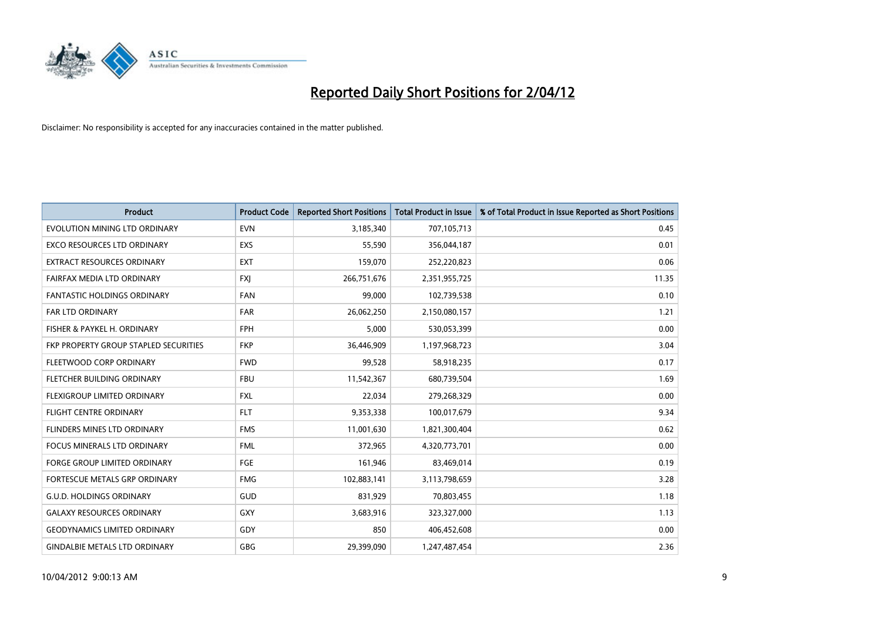

| <b>Product</b>                        | <b>Product Code</b> | <b>Reported Short Positions</b> | <b>Total Product in Issue</b> | % of Total Product in Issue Reported as Short Positions |
|---------------------------------------|---------------------|---------------------------------|-------------------------------|---------------------------------------------------------|
| EVOLUTION MINING LTD ORDINARY         | <b>EVN</b>          | 3,185,340                       | 707,105,713                   | 0.45                                                    |
| EXCO RESOURCES LTD ORDINARY           | <b>EXS</b>          | 55,590                          | 356,044,187                   | 0.01                                                    |
| <b>EXTRACT RESOURCES ORDINARY</b>     | <b>EXT</b>          | 159,070                         | 252,220,823                   | 0.06                                                    |
| FAIRFAX MEDIA LTD ORDINARY            | <b>FXJ</b>          | 266,751,676                     | 2,351,955,725                 | 11.35                                                   |
| <b>FANTASTIC HOLDINGS ORDINARY</b>    | <b>FAN</b>          | 99,000                          | 102,739,538                   | 0.10                                                    |
| <b>FAR LTD ORDINARY</b>               | <b>FAR</b>          | 26,062,250                      | 2,150,080,157                 | 1.21                                                    |
| FISHER & PAYKEL H. ORDINARY           | <b>FPH</b>          | 5,000                           | 530,053,399                   | 0.00                                                    |
| FKP PROPERTY GROUP STAPLED SECURITIES | <b>FKP</b>          | 36,446,909                      | 1,197,968,723                 | 3.04                                                    |
| FLEETWOOD CORP ORDINARY               | <b>FWD</b>          | 99,528                          | 58,918,235                    | 0.17                                                    |
| FLETCHER BUILDING ORDINARY            | <b>FBU</b>          | 11,542,367                      | 680,739,504                   | 1.69                                                    |
| FLEXIGROUP LIMITED ORDINARY           | FXL                 | 22,034                          | 279,268,329                   | 0.00                                                    |
| <b>FLIGHT CENTRE ORDINARY</b>         | <b>FLT</b>          | 9,353,338                       | 100,017,679                   | 9.34                                                    |
| FLINDERS MINES LTD ORDINARY           | <b>FMS</b>          | 11,001,630                      | 1,821,300,404                 | 0.62                                                    |
| <b>FOCUS MINERALS LTD ORDINARY</b>    | <b>FML</b>          | 372,965                         | 4,320,773,701                 | 0.00                                                    |
| <b>FORGE GROUP LIMITED ORDINARY</b>   | FGE                 | 161,946                         | 83,469,014                    | 0.19                                                    |
| FORTESCUE METALS GRP ORDINARY         | <b>FMG</b>          | 102,883,141                     | 3,113,798,659                 | 3.28                                                    |
| <b>G.U.D. HOLDINGS ORDINARY</b>       | GUD                 | 831,929                         | 70,803,455                    | 1.18                                                    |
| <b>GALAXY RESOURCES ORDINARY</b>      | <b>GXY</b>          | 3,683,916                       | 323,327,000                   | 1.13                                                    |
| <b>GEODYNAMICS LIMITED ORDINARY</b>   | GDY                 | 850                             | 406,452,608                   | 0.00                                                    |
| <b>GINDALBIE METALS LTD ORDINARY</b>  | GBG                 | 29,399,090                      | 1,247,487,454                 | 2.36                                                    |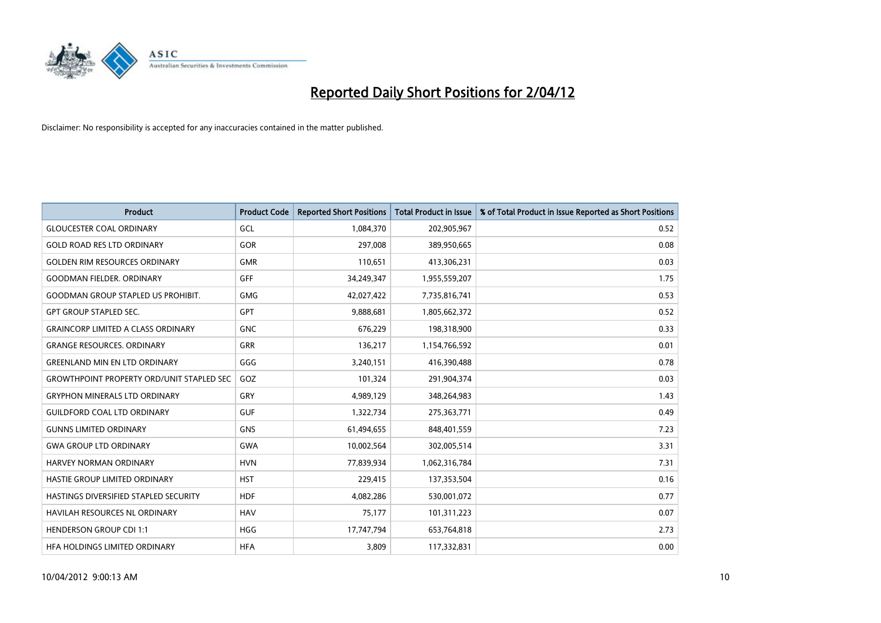

| <b>Product</b>                                   | <b>Product Code</b> | <b>Reported Short Positions</b> | <b>Total Product in Issue</b> | % of Total Product in Issue Reported as Short Positions |
|--------------------------------------------------|---------------------|---------------------------------|-------------------------------|---------------------------------------------------------|
| <b>GLOUCESTER COAL ORDINARY</b>                  | GCL                 | 1,084,370                       | 202,905,967                   | 0.52                                                    |
| <b>GOLD ROAD RES LTD ORDINARY</b>                | GOR                 | 297,008                         | 389,950,665                   | 0.08                                                    |
| <b>GOLDEN RIM RESOURCES ORDINARY</b>             | <b>GMR</b>          | 110,651                         | 413,306,231                   | 0.03                                                    |
| <b>GOODMAN FIELDER, ORDINARY</b>                 | <b>GFF</b>          | 34,249,347                      | 1,955,559,207                 | 1.75                                                    |
| <b>GOODMAN GROUP STAPLED US PROHIBIT.</b>        | <b>GMG</b>          | 42,027,422                      | 7,735,816,741                 | 0.53                                                    |
| <b>GPT GROUP STAPLED SEC.</b>                    | GPT                 | 9,888,681                       | 1,805,662,372                 | 0.52                                                    |
| <b>GRAINCORP LIMITED A CLASS ORDINARY</b>        | <b>GNC</b>          | 676,229                         | 198,318,900                   | 0.33                                                    |
| <b>GRANGE RESOURCES. ORDINARY</b>                | GRR                 | 136,217                         | 1,154,766,592                 | 0.01                                                    |
| <b>GREENLAND MIN EN LTD ORDINARY</b>             | GGG                 | 3,240,151                       | 416,390,488                   | 0.78                                                    |
| <b>GROWTHPOINT PROPERTY ORD/UNIT STAPLED SEC</b> | GOZ                 | 101,324                         | 291,904,374                   | 0.03                                                    |
| <b>GRYPHON MINERALS LTD ORDINARY</b>             | <b>GRY</b>          | 4,989,129                       | 348,264,983                   | 1.43                                                    |
| <b>GUILDFORD COAL LTD ORDINARY</b>               | <b>GUF</b>          | 1,322,734                       | 275,363,771                   | 0.49                                                    |
| <b>GUNNS LIMITED ORDINARY</b>                    | <b>GNS</b>          | 61,494,655                      | 848,401,559                   | 7.23                                                    |
| <b>GWA GROUP LTD ORDINARY</b>                    | <b>GWA</b>          | 10,002,564                      | 302,005,514                   | 3.31                                                    |
| <b>HARVEY NORMAN ORDINARY</b>                    | <b>HVN</b>          | 77,839,934                      | 1,062,316,784                 | 7.31                                                    |
| HASTIE GROUP LIMITED ORDINARY                    | <b>HST</b>          | 229,415                         | 137,353,504                   | 0.16                                                    |
| HASTINGS DIVERSIFIED STAPLED SECURITY            | <b>HDF</b>          | 4,082,286                       | 530,001,072                   | 0.77                                                    |
| <b>HAVILAH RESOURCES NL ORDINARY</b>             | <b>HAV</b>          | 75,177                          | 101,311,223                   | 0.07                                                    |
| <b>HENDERSON GROUP CDI 1:1</b>                   | HGG                 | 17,747,794                      | 653,764,818                   | 2.73                                                    |
| HEA HOLDINGS LIMITED ORDINARY                    | <b>HFA</b>          | 3,809                           | 117,332,831                   | 0.00                                                    |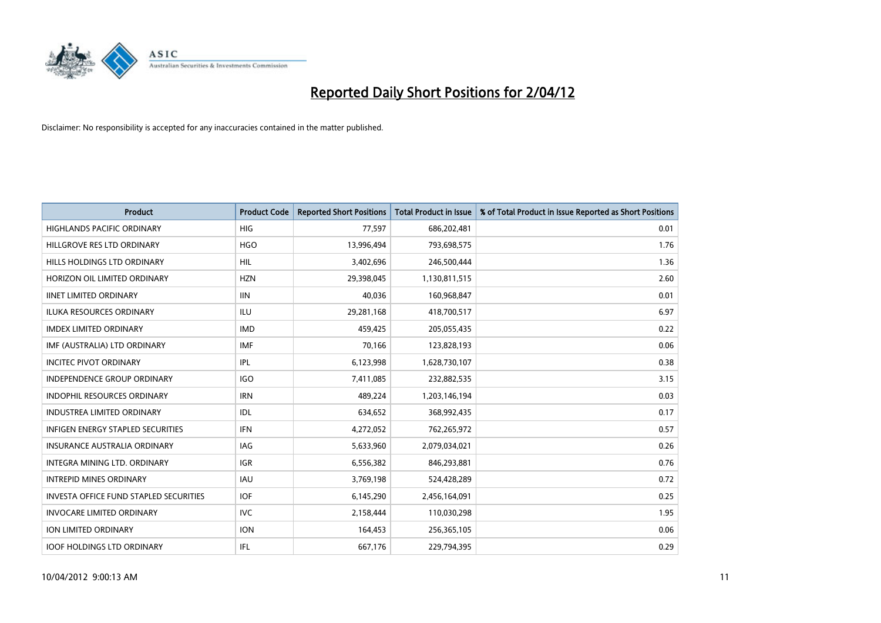

| <b>Product</b>                         | <b>Product Code</b> | <b>Reported Short Positions</b> | <b>Total Product in Issue</b> | % of Total Product in Issue Reported as Short Positions |
|----------------------------------------|---------------------|---------------------------------|-------------------------------|---------------------------------------------------------|
| <b>HIGHLANDS PACIFIC ORDINARY</b>      | <b>HIG</b>          | 77,597                          | 686,202,481                   | 0.01                                                    |
| HILLGROVE RES LTD ORDINARY             | <b>HGO</b>          | 13,996,494                      | 793,698,575                   | 1.76                                                    |
| HILLS HOLDINGS LTD ORDINARY            | <b>HIL</b>          | 3,402,696                       | 246,500,444                   | 1.36                                                    |
| HORIZON OIL LIMITED ORDINARY           | <b>HZN</b>          | 29,398,045                      | 1,130,811,515                 | 2.60                                                    |
| <b>IINET LIMITED ORDINARY</b>          | <b>IIN</b>          | 40,036                          | 160,968,847                   | 0.01                                                    |
| <b>ILUKA RESOURCES ORDINARY</b>        | <b>ILU</b>          | 29,281,168                      | 418,700,517                   | 6.97                                                    |
| <b>IMDEX LIMITED ORDINARY</b>          | <b>IMD</b>          | 459,425                         | 205,055,435                   | 0.22                                                    |
| IMF (AUSTRALIA) LTD ORDINARY           | <b>IMF</b>          | 70,166                          | 123,828,193                   | 0.06                                                    |
| <b>INCITEC PIVOT ORDINARY</b>          | IPL                 | 6,123,998                       | 1,628,730,107                 | 0.38                                                    |
| <b>INDEPENDENCE GROUP ORDINARY</b>     | <b>IGO</b>          | 7,411,085                       | 232,882,535                   | 3.15                                                    |
| INDOPHIL RESOURCES ORDINARY            | <b>IRN</b>          | 489,224                         | 1,203,146,194                 | 0.03                                                    |
| <b>INDUSTREA LIMITED ORDINARY</b>      | IDL                 | 634,652                         | 368,992,435                   | 0.17                                                    |
| INFIGEN ENERGY STAPLED SECURITIES      | <b>IFN</b>          | 4,272,052                       | 762,265,972                   | 0.57                                                    |
| <b>INSURANCE AUSTRALIA ORDINARY</b>    | IAG                 | 5,633,960                       | 2,079,034,021                 | 0.26                                                    |
| INTEGRA MINING LTD, ORDINARY           | <b>IGR</b>          | 6,556,382                       | 846,293,881                   | 0.76                                                    |
| <b>INTREPID MINES ORDINARY</b>         | <b>IAU</b>          | 3,769,198                       | 524,428,289                   | 0.72                                                    |
| INVESTA OFFICE FUND STAPLED SECURITIES | <b>IOF</b>          | 6,145,290                       | 2,456,164,091                 | 0.25                                                    |
| <b>INVOCARE LIMITED ORDINARY</b>       | IVC                 | 2,158,444                       | 110,030,298                   | 1.95                                                    |
| <b>ION LIMITED ORDINARY</b>            | <b>ION</b>          | 164,453                         | 256,365,105                   | 0.06                                                    |
| <b>IOOF HOLDINGS LTD ORDINARY</b>      | IFL                 | 667,176                         | 229,794,395                   | 0.29                                                    |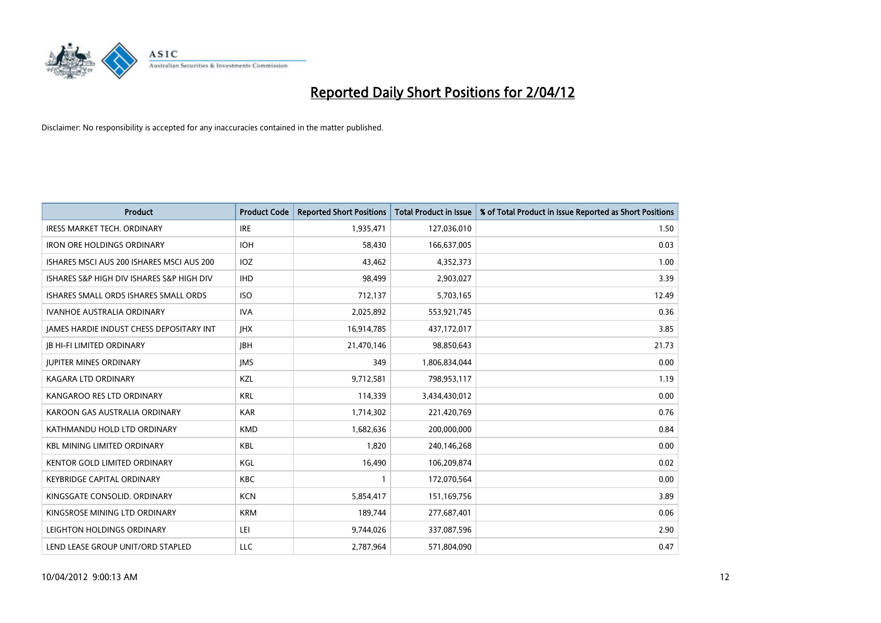

| <b>Product</b>                            | <b>Product Code</b> | <b>Reported Short Positions</b> | <b>Total Product in Issue</b> | % of Total Product in Issue Reported as Short Positions |
|-------------------------------------------|---------------------|---------------------------------|-------------------------------|---------------------------------------------------------|
| <b>IRESS MARKET TECH. ORDINARY</b>        | <b>IRE</b>          | 1,935,471                       | 127,036,010                   | 1.50                                                    |
| <b>IRON ORE HOLDINGS ORDINARY</b>         | <b>IOH</b>          | 58,430                          | 166,637,005                   | 0.03                                                    |
| ISHARES MSCI AUS 200 ISHARES MSCI AUS 200 | <b>IOZ</b>          | 43,462                          | 4,352,373                     | 1.00                                                    |
| ISHARES S&P HIGH DIV ISHARES S&P HIGH DIV | <b>IHD</b>          | 98,499                          | 2,903,027                     | 3.39                                                    |
| ISHARES SMALL ORDS ISHARES SMALL ORDS     | <b>ISO</b>          | 712,137                         | 5,703,165                     | 12.49                                                   |
| <b>IVANHOE AUSTRALIA ORDINARY</b>         | <b>IVA</b>          | 2,025,892                       | 553,921,745                   | 0.36                                                    |
| JAMES HARDIE INDUST CHESS DEPOSITARY INT  | <b>JHX</b>          | 16,914,785                      | 437,172,017                   | 3.85                                                    |
| <b>JB HI-FI LIMITED ORDINARY</b>          | <b>IBH</b>          | 21,470,146                      | 98,850,643                    | 21.73                                                   |
| <b>JUPITER MINES ORDINARY</b>             | <b>IMS</b>          | 349                             | 1,806,834,044                 | 0.00                                                    |
| <b>KAGARA LTD ORDINARY</b>                | <b>KZL</b>          | 9,712,581                       | 798,953,117                   | 1.19                                                    |
| KANGAROO RES LTD ORDINARY                 | <b>KRL</b>          | 114,339                         | 3,434,430,012                 | 0.00                                                    |
| KAROON GAS AUSTRALIA ORDINARY             | <b>KAR</b>          | 1,714,302                       | 221,420,769                   | 0.76                                                    |
| KATHMANDU HOLD LTD ORDINARY               | <b>KMD</b>          | 1,682,636                       | 200,000,000                   | 0.84                                                    |
| <b>KBL MINING LIMITED ORDINARY</b>        | KBL                 | 1,820                           | 240,146,268                   | 0.00                                                    |
| KENTOR GOLD LIMITED ORDINARY              | KGL                 | 16,490                          | 106,209,874                   | 0.02                                                    |
| KEYBRIDGE CAPITAL ORDINARY                | <b>KBC</b>          |                                 | 172,070,564                   | 0.00                                                    |
| KINGSGATE CONSOLID. ORDINARY              | <b>KCN</b>          | 5,854,417                       | 151,169,756                   | 3.89                                                    |
| KINGSROSE MINING LTD ORDINARY             | <b>KRM</b>          | 189,744                         | 277,687,401                   | 0.06                                                    |
| LEIGHTON HOLDINGS ORDINARY                | LEI                 | 9,744,026                       | 337,087,596                   | 2.90                                                    |
| LEND LEASE GROUP UNIT/ORD STAPLED         | LLC                 | 2,787,964                       | 571,804,090                   | 0.47                                                    |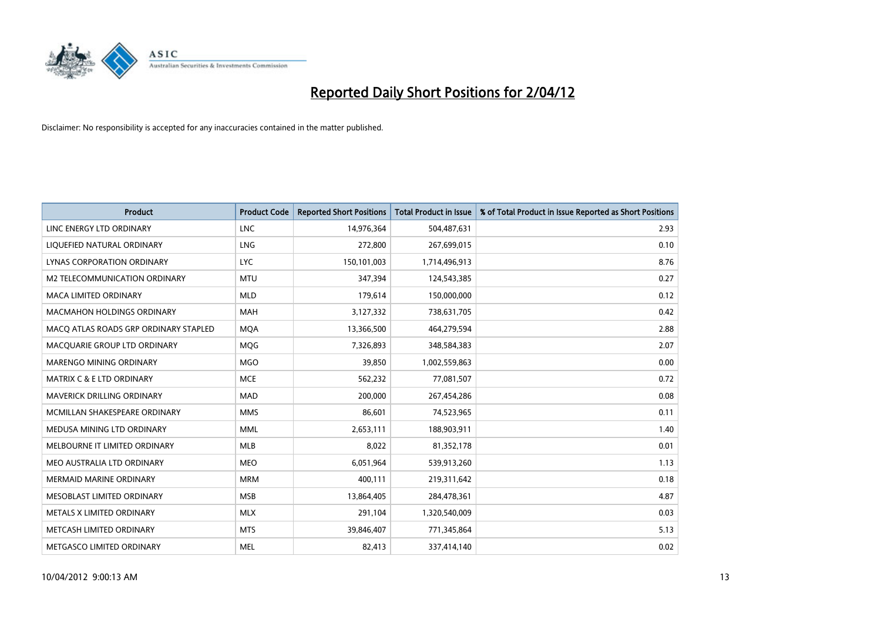

| <b>Product</b>                        | <b>Product Code</b> | <b>Reported Short Positions</b> | <b>Total Product in Issue</b> | % of Total Product in Issue Reported as Short Positions |
|---------------------------------------|---------------------|---------------------------------|-------------------------------|---------------------------------------------------------|
| LINC ENERGY LTD ORDINARY              | <b>LNC</b>          | 14,976,364                      | 504,487,631                   | 2.93                                                    |
| LIQUEFIED NATURAL ORDINARY            | <b>LNG</b>          | 272,800                         | 267,699,015                   | 0.10                                                    |
| <b>LYNAS CORPORATION ORDINARY</b>     | <b>LYC</b>          | 150,101,003                     | 1,714,496,913                 | 8.76                                                    |
| M2 TELECOMMUNICATION ORDINARY         | <b>MTU</b>          | 347,394                         | 124,543,385                   | 0.27                                                    |
| <b>MACA LIMITED ORDINARY</b>          | <b>MLD</b>          | 179,614                         | 150,000,000                   | 0.12                                                    |
| <b>MACMAHON HOLDINGS ORDINARY</b>     | <b>MAH</b>          | 3,127,332                       | 738,631,705                   | 0.42                                                    |
| MACO ATLAS ROADS GRP ORDINARY STAPLED | <b>MOA</b>          | 13,366,500                      | 464,279,594                   | 2.88                                                    |
| MACQUARIE GROUP LTD ORDINARY          | <b>MOG</b>          | 7,326,893                       | 348,584,383                   | 2.07                                                    |
| MARENGO MINING ORDINARY               | <b>MGO</b>          | 39,850                          | 1,002,559,863                 | 0.00                                                    |
| <b>MATRIX C &amp; E LTD ORDINARY</b>  | <b>MCE</b>          | 562,232                         | 77,081,507                    | 0.72                                                    |
| MAVERICK DRILLING ORDINARY            | <b>MAD</b>          | 200,000                         | 267,454,286                   | 0.08                                                    |
| MCMILLAN SHAKESPEARE ORDINARY         | <b>MMS</b>          | 86,601                          | 74,523,965                    | 0.11                                                    |
| MEDUSA MINING LTD ORDINARY            | <b>MML</b>          | 2,653,111                       | 188,903,911                   | 1.40                                                    |
| MELBOURNE IT LIMITED ORDINARY         | MLB                 | 8,022                           | 81,352,178                    | 0.01                                                    |
| MEO AUSTRALIA LTD ORDINARY            | <b>MEO</b>          | 6,051,964                       | 539,913,260                   | 1.13                                                    |
| MERMAID MARINE ORDINARY               | <b>MRM</b>          | 400,111                         | 219,311,642                   | 0.18                                                    |
| MESOBLAST LIMITED ORDINARY            | <b>MSB</b>          | 13,864,405                      | 284,478,361                   | 4.87                                                    |
| METALS X LIMITED ORDINARY             | <b>MLX</b>          | 291,104                         | 1,320,540,009                 | 0.03                                                    |
| METCASH LIMITED ORDINARY              | <b>MTS</b>          | 39,846,407                      | 771,345,864                   | 5.13                                                    |
| METGASCO LIMITED ORDINARY             | <b>MEL</b>          | 82,413                          | 337,414,140                   | 0.02                                                    |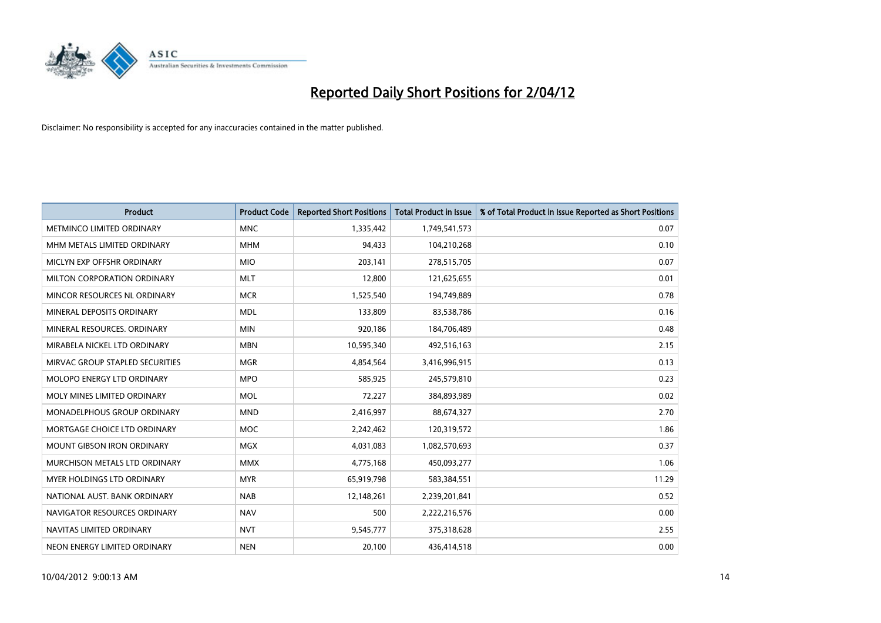

| <b>Product</b>                    | <b>Product Code</b> | <b>Reported Short Positions</b> | <b>Total Product in Issue</b> | % of Total Product in Issue Reported as Short Positions |
|-----------------------------------|---------------------|---------------------------------|-------------------------------|---------------------------------------------------------|
| METMINCO LIMITED ORDINARY         | <b>MNC</b>          | 1,335,442                       | 1,749,541,573                 | 0.07                                                    |
| MHM METALS LIMITED ORDINARY       | <b>MHM</b>          | 94,433                          | 104,210,268                   | 0.10                                                    |
| MICLYN EXP OFFSHR ORDINARY        | <b>MIO</b>          | 203,141                         | 278,515,705                   | 0.07                                                    |
| MILTON CORPORATION ORDINARY       | <b>MLT</b>          | 12,800                          | 121,625,655                   | 0.01                                                    |
| MINCOR RESOURCES NL ORDINARY      | <b>MCR</b>          | 1,525,540                       | 194,749,889                   | 0.78                                                    |
| MINERAL DEPOSITS ORDINARY         | <b>MDL</b>          | 133,809                         | 83,538,786                    | 0.16                                                    |
| MINERAL RESOURCES, ORDINARY       | <b>MIN</b>          | 920,186                         | 184,706,489                   | 0.48                                                    |
| MIRABELA NICKEL LTD ORDINARY      | <b>MBN</b>          | 10,595,340                      | 492,516,163                   | 2.15                                                    |
| MIRVAC GROUP STAPLED SECURITIES   | <b>MGR</b>          | 4,854,564                       | 3,416,996,915                 | 0.13                                                    |
| MOLOPO ENERGY LTD ORDINARY        | <b>MPO</b>          | 585,925                         | 245,579,810                   | 0.23                                                    |
| MOLY MINES LIMITED ORDINARY       | <b>MOL</b>          | 72,227                          | 384,893,989                   | 0.02                                                    |
| MONADELPHOUS GROUP ORDINARY       | <b>MND</b>          | 2,416,997                       | 88,674,327                    | 2.70                                                    |
| MORTGAGE CHOICE LTD ORDINARY      | <b>MOC</b>          | 2,242,462                       | 120,319,572                   | 1.86                                                    |
| <b>MOUNT GIBSON IRON ORDINARY</b> | <b>MGX</b>          | 4,031,083                       | 1,082,570,693                 | 0.37                                                    |
| MURCHISON METALS LTD ORDINARY     | <b>MMX</b>          | 4,775,168                       | 450,093,277                   | 1.06                                                    |
| MYER HOLDINGS LTD ORDINARY        | <b>MYR</b>          | 65,919,798                      | 583,384,551                   | 11.29                                                   |
| NATIONAL AUST. BANK ORDINARY      | <b>NAB</b>          | 12,148,261                      | 2,239,201,841                 | 0.52                                                    |
| NAVIGATOR RESOURCES ORDINARY      | <b>NAV</b>          | 500                             | 2,222,216,576                 | 0.00                                                    |
| NAVITAS LIMITED ORDINARY          | <b>NVT</b>          | 9,545,777                       | 375,318,628                   | 2.55                                                    |
| NEON ENERGY LIMITED ORDINARY      | <b>NEN</b>          | 20,100                          | 436,414,518                   | 0.00                                                    |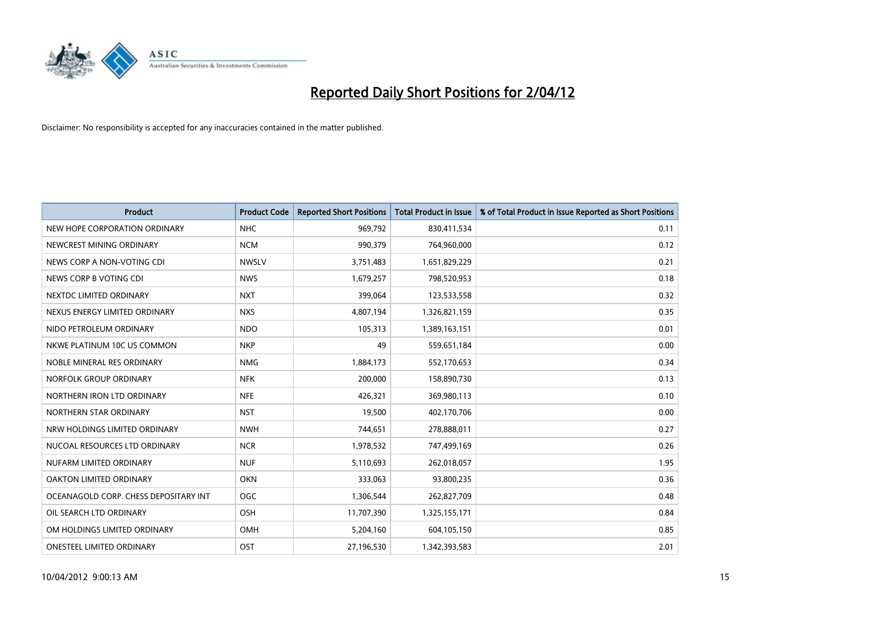

| <b>Product</b>                        | <b>Product Code</b> | <b>Reported Short Positions</b> | <b>Total Product in Issue</b> | % of Total Product in Issue Reported as Short Positions |
|---------------------------------------|---------------------|---------------------------------|-------------------------------|---------------------------------------------------------|
| NEW HOPE CORPORATION ORDINARY         | <b>NHC</b>          | 969,792                         | 830,411,534                   | 0.11                                                    |
| NEWCREST MINING ORDINARY              | <b>NCM</b>          | 990,379                         | 764,960,000                   | 0.12                                                    |
| NEWS CORP A NON-VOTING CDI            | <b>NWSLV</b>        | 3,751,483                       | 1,651,829,229                 | 0.21                                                    |
| NEWS CORP B VOTING CDI                | <b>NWS</b>          | 1,679,257                       | 798,520,953                   | 0.18                                                    |
| NEXTDC LIMITED ORDINARY               | <b>NXT</b>          | 399,064                         | 123,533,558                   | 0.32                                                    |
| NEXUS ENERGY LIMITED ORDINARY         | <b>NXS</b>          | 4,807,194                       | 1,326,821,159                 | 0.35                                                    |
| NIDO PETROLEUM ORDINARY               | <b>NDO</b>          | 105,313                         | 1,389,163,151                 | 0.01                                                    |
| NKWE PLATINUM 10C US COMMON           | <b>NKP</b>          | 49                              | 559,651,184                   | 0.00                                                    |
| NOBLE MINERAL RES ORDINARY            | <b>NMG</b>          | 1,884,173                       | 552,170,653                   | 0.34                                                    |
| NORFOLK GROUP ORDINARY                | <b>NFK</b>          | 200,000                         | 158,890,730                   | 0.13                                                    |
| NORTHERN IRON LTD ORDINARY            | <b>NFE</b>          | 426,321                         | 369,980,113                   | 0.10                                                    |
| NORTHERN STAR ORDINARY                | <b>NST</b>          | 19,500                          | 402,170,706                   | 0.00                                                    |
| NRW HOLDINGS LIMITED ORDINARY         | <b>NWH</b>          | 744,651                         | 278,888,011                   | 0.27                                                    |
| NUCOAL RESOURCES LTD ORDINARY         | <b>NCR</b>          | 1,978,532                       | 747,499,169                   | 0.26                                                    |
| NUFARM LIMITED ORDINARY               | <b>NUF</b>          | 5,110,693                       | 262,018,057                   | 1.95                                                    |
| OAKTON LIMITED ORDINARY               | <b>OKN</b>          | 333,063                         | 93,800,235                    | 0.36                                                    |
| OCEANAGOLD CORP. CHESS DEPOSITARY INT | <b>OGC</b>          | 1,306,544                       | 262,827,709                   | 0.48                                                    |
| OIL SEARCH LTD ORDINARY               | OSH                 | 11,707,390                      | 1,325,155,171                 | 0.84                                                    |
| OM HOLDINGS LIMITED ORDINARY          | <b>OMH</b>          | 5,204,160                       | 604,105,150                   | 0.85                                                    |
| ONESTEEL LIMITED ORDINARY             | OST                 | 27,196,530                      | 1,342,393,583                 | 2.01                                                    |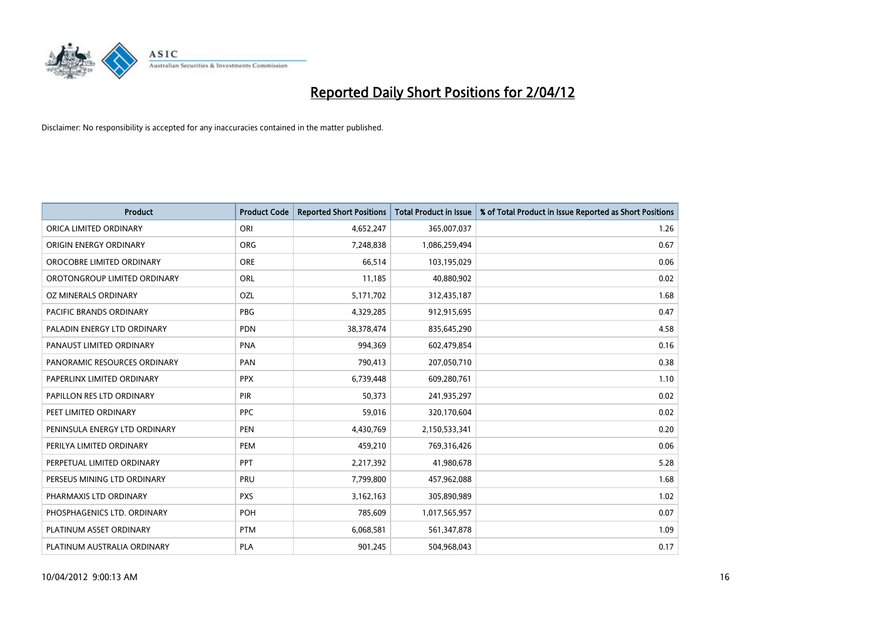

| <b>Product</b>                 | <b>Product Code</b> | <b>Reported Short Positions</b> | <b>Total Product in Issue</b> | % of Total Product in Issue Reported as Short Positions |
|--------------------------------|---------------------|---------------------------------|-------------------------------|---------------------------------------------------------|
| ORICA LIMITED ORDINARY         | ORI                 | 4,652,247                       | 365,007,037                   | 1.26                                                    |
| ORIGIN ENERGY ORDINARY         | <b>ORG</b>          | 7,248,838                       | 1,086,259,494                 | 0.67                                                    |
| OROCOBRE LIMITED ORDINARY      | <b>ORE</b>          | 66,514                          | 103,195,029                   | 0.06                                                    |
| OROTONGROUP LIMITED ORDINARY   | ORL                 | 11,185                          | 40,880,902                    | 0.02                                                    |
| <b>OZ MINERALS ORDINARY</b>    | OZL                 | 5,171,702                       | 312,435,187                   | 1.68                                                    |
| <b>PACIFIC BRANDS ORDINARY</b> | <b>PBG</b>          | 4,329,285                       | 912,915,695                   | 0.47                                                    |
| PALADIN ENERGY LTD ORDINARY    | <b>PDN</b>          | 38,378,474                      | 835,645,290                   | 4.58                                                    |
| PANAUST LIMITED ORDINARY       | <b>PNA</b>          | 994,369                         | 602,479,854                   | 0.16                                                    |
| PANORAMIC RESOURCES ORDINARY   | PAN                 | 790,413                         | 207,050,710                   | 0.38                                                    |
| PAPERLINX LIMITED ORDINARY     | <b>PPX</b>          | 6,739,448                       | 609,280,761                   | 1.10                                                    |
| PAPILLON RES LTD ORDINARY      | PIR                 | 50,373                          | 241,935,297                   | 0.02                                                    |
| PEET LIMITED ORDINARY          | <b>PPC</b>          | 59,016                          | 320,170,604                   | 0.02                                                    |
| PENINSULA ENERGY LTD ORDINARY  | <b>PEN</b>          | 4,430,769                       | 2,150,533,341                 | 0.20                                                    |
| PERILYA LIMITED ORDINARY       | PEM                 | 459,210                         | 769,316,426                   | 0.06                                                    |
| PERPETUAL LIMITED ORDINARY     | PPT                 | 2,217,392                       | 41,980,678                    | 5.28                                                    |
| PERSEUS MINING LTD ORDINARY    | PRU                 | 7,799,800                       | 457,962,088                   | 1.68                                                    |
| PHARMAXIS LTD ORDINARY         | <b>PXS</b>          | 3,162,163                       | 305,890,989                   | 1.02                                                    |
| PHOSPHAGENICS LTD. ORDINARY    | POH                 | 785,609                         | 1,017,565,957                 | 0.07                                                    |
| PLATINUM ASSET ORDINARY        | <b>PTM</b>          | 6,068,581                       | 561,347,878                   | 1.09                                                    |
| PLATINUM AUSTRALIA ORDINARY    | <b>PLA</b>          | 901,245                         | 504,968,043                   | 0.17                                                    |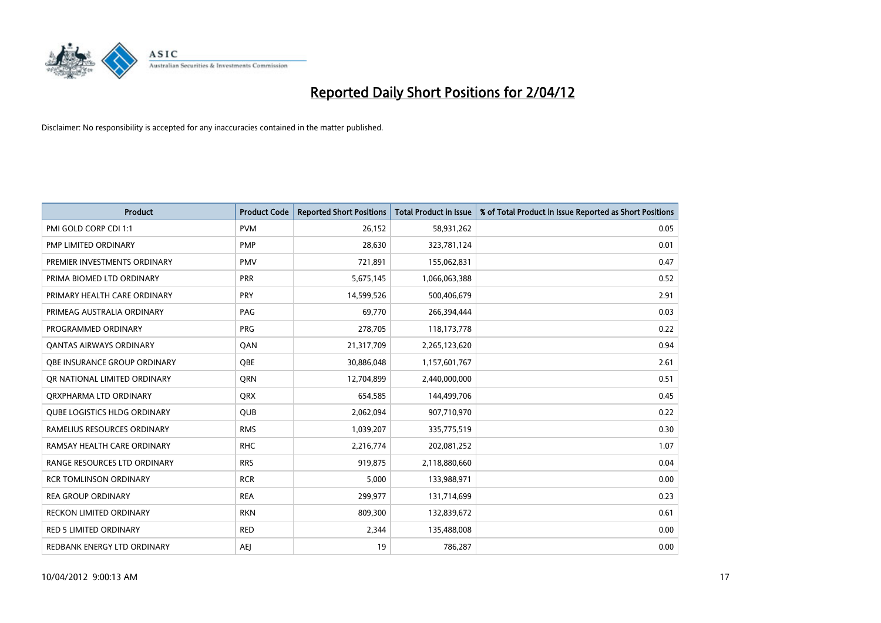

| <b>Product</b>                      | <b>Product Code</b> | <b>Reported Short Positions</b> | <b>Total Product in Issue</b> | % of Total Product in Issue Reported as Short Positions |
|-------------------------------------|---------------------|---------------------------------|-------------------------------|---------------------------------------------------------|
| PMI GOLD CORP CDI 1:1               | <b>PVM</b>          | 26,152                          | 58,931,262                    | 0.05                                                    |
| PMP LIMITED ORDINARY                | <b>PMP</b>          | 28.630                          | 323,781,124                   | 0.01                                                    |
| PREMIER INVESTMENTS ORDINARY        | <b>PMV</b>          | 721,891                         | 155,062,831                   | 0.47                                                    |
| PRIMA BIOMED LTD ORDINARY           | <b>PRR</b>          | 5,675,145                       | 1,066,063,388                 | 0.52                                                    |
| PRIMARY HEALTH CARE ORDINARY        | PRY                 | 14,599,526                      | 500,406,679                   | 2.91                                                    |
| PRIMEAG AUSTRALIA ORDINARY          | PAG                 | 69,770                          | 266,394,444                   | 0.03                                                    |
| PROGRAMMED ORDINARY                 | <b>PRG</b>          | 278,705                         | 118,173,778                   | 0.22                                                    |
| <b>QANTAS AIRWAYS ORDINARY</b>      | QAN                 | 21,317,709                      | 2,265,123,620                 | 0.94                                                    |
| OBE INSURANCE GROUP ORDINARY        | <b>OBE</b>          | 30,886,048                      | 1,157,601,767                 | 2.61                                                    |
| OR NATIONAL LIMITED ORDINARY        | <b>ORN</b>          | 12,704,899                      | 2,440,000,000                 | 0.51                                                    |
| ORXPHARMA LTD ORDINARY              | <b>QRX</b>          | 654,585                         | 144,499,706                   | 0.45                                                    |
| <b>QUBE LOGISTICS HLDG ORDINARY</b> | QUB                 | 2,062,094                       | 907,710,970                   | 0.22                                                    |
| RAMELIUS RESOURCES ORDINARY         | <b>RMS</b>          | 1,039,207                       | 335,775,519                   | 0.30                                                    |
| RAMSAY HEALTH CARE ORDINARY         | <b>RHC</b>          | 2,216,774                       | 202,081,252                   | 1.07                                                    |
| RANGE RESOURCES LTD ORDINARY        | <b>RRS</b>          | 919,875                         | 2,118,880,660                 | 0.04                                                    |
| <b>RCR TOMLINSON ORDINARY</b>       | <b>RCR</b>          | 5,000                           | 133,988,971                   | 0.00                                                    |
| <b>REA GROUP ORDINARY</b>           | <b>REA</b>          | 299,977                         | 131,714,699                   | 0.23                                                    |
| RECKON LIMITED ORDINARY             | <b>RKN</b>          | 809,300                         | 132,839,672                   | 0.61                                                    |
| <b>RED 5 LIMITED ORDINARY</b>       | <b>RED</b>          | 2,344                           | 135,488,008                   | 0.00                                                    |
| REDBANK ENERGY LTD ORDINARY         | <b>AEJ</b>          | 19                              | 786,287                       | 0.00                                                    |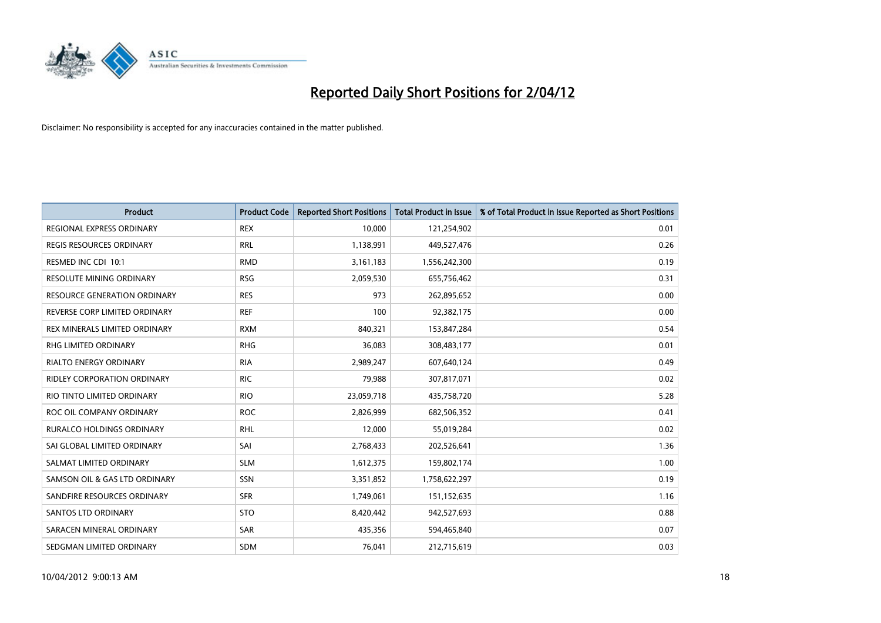

| <b>Product</b>                      | <b>Product Code</b> | <b>Reported Short Positions</b> | <b>Total Product in Issue</b> | % of Total Product in Issue Reported as Short Positions |
|-------------------------------------|---------------------|---------------------------------|-------------------------------|---------------------------------------------------------|
| REGIONAL EXPRESS ORDINARY           | <b>REX</b>          | 10,000                          | 121,254,902                   | 0.01                                                    |
| <b>REGIS RESOURCES ORDINARY</b>     | <b>RRL</b>          | 1,138,991                       | 449,527,476                   | 0.26                                                    |
| RESMED INC CDI 10:1                 | <b>RMD</b>          | 3,161,183                       | 1,556,242,300                 | 0.19                                                    |
| RESOLUTE MINING ORDINARY            | <b>RSG</b>          | 2,059,530                       | 655,756,462                   | 0.31                                                    |
| <b>RESOURCE GENERATION ORDINARY</b> | <b>RES</b>          | 973                             | 262,895,652                   | 0.00                                                    |
| REVERSE CORP LIMITED ORDINARY       | <b>REF</b>          | 100                             | 92,382,175                    | 0.00                                                    |
| REX MINERALS LIMITED ORDINARY       | <b>RXM</b>          | 840,321                         | 153,847,284                   | 0.54                                                    |
| RHG LIMITED ORDINARY                | <b>RHG</b>          | 36,083                          | 308,483,177                   | 0.01                                                    |
| <b>RIALTO ENERGY ORDINARY</b>       | <b>RIA</b>          | 2,989,247                       | 607,640,124                   | 0.49                                                    |
| <b>RIDLEY CORPORATION ORDINARY</b>  | <b>RIC</b>          | 79,988                          | 307,817,071                   | 0.02                                                    |
| RIO TINTO LIMITED ORDINARY          | <b>RIO</b>          | 23,059,718                      | 435,758,720                   | 5.28                                                    |
| ROC OIL COMPANY ORDINARY            | <b>ROC</b>          | 2,826,999                       | 682,506,352                   | 0.41                                                    |
| RURALCO HOLDINGS ORDINARY           | <b>RHL</b>          | 12,000                          | 55,019,284                    | 0.02                                                    |
| SAI GLOBAL LIMITED ORDINARY         | SAI                 | 2,768,433                       | 202,526,641                   | 1.36                                                    |
| SALMAT LIMITED ORDINARY             | <b>SLM</b>          | 1,612,375                       | 159,802,174                   | 1.00                                                    |
| SAMSON OIL & GAS LTD ORDINARY       | SSN                 | 3,351,852                       | 1,758,622,297                 | 0.19                                                    |
| SANDFIRE RESOURCES ORDINARY         | <b>SFR</b>          | 1,749,061                       | 151,152,635                   | 1.16                                                    |
| SANTOS LTD ORDINARY                 | <b>STO</b>          | 8,420,442                       | 942,527,693                   | 0.88                                                    |
| SARACEN MINERAL ORDINARY            | SAR                 | 435,356                         | 594,465,840                   | 0.07                                                    |
| SEDGMAN LIMITED ORDINARY            | <b>SDM</b>          | 76,041                          | 212,715,619                   | 0.03                                                    |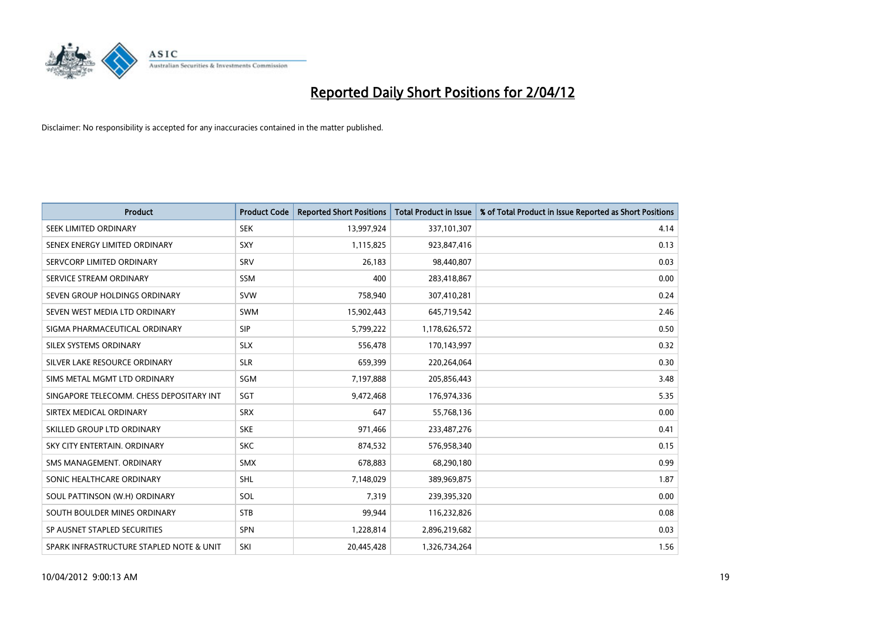

| <b>Product</b>                           | <b>Product Code</b> | <b>Reported Short Positions</b> | <b>Total Product in Issue</b> | % of Total Product in Issue Reported as Short Positions |
|------------------------------------------|---------------------|---------------------------------|-------------------------------|---------------------------------------------------------|
| SEEK LIMITED ORDINARY                    | <b>SEK</b>          | 13,997,924                      | 337,101,307                   | 4.14                                                    |
| SENEX ENERGY LIMITED ORDINARY            | <b>SXY</b>          | 1,115,825                       | 923,847,416                   | 0.13                                                    |
| SERVCORP LIMITED ORDINARY                | SRV                 | 26,183                          | 98,440,807                    | 0.03                                                    |
| SERVICE STREAM ORDINARY                  | SSM                 | 400                             | 283,418,867                   | 0.00                                                    |
| SEVEN GROUP HOLDINGS ORDINARY            | <b>SVW</b>          | 758,940                         | 307,410,281                   | 0.24                                                    |
| SEVEN WEST MEDIA LTD ORDINARY            | <b>SWM</b>          | 15,902,443                      | 645,719,542                   | 2.46                                                    |
| SIGMA PHARMACEUTICAL ORDINARY            | <b>SIP</b>          | 5,799,222                       | 1,178,626,572                 | 0.50                                                    |
| SILEX SYSTEMS ORDINARY                   | <b>SLX</b>          | 556,478                         | 170,143,997                   | 0.32                                                    |
| SILVER LAKE RESOURCE ORDINARY            | <b>SLR</b>          | 659,399                         | 220,264,064                   | 0.30                                                    |
| SIMS METAL MGMT LTD ORDINARY             | SGM                 | 7,197,888                       | 205,856,443                   | 3.48                                                    |
| SINGAPORE TELECOMM. CHESS DEPOSITARY INT | SGT                 | 9,472,468                       | 176,974,336                   | 5.35                                                    |
| SIRTEX MEDICAL ORDINARY                  | <b>SRX</b>          | 647                             | 55,768,136                    | 0.00                                                    |
| SKILLED GROUP LTD ORDINARY               | <b>SKE</b>          | 971,466                         | 233,487,276                   | 0.41                                                    |
| SKY CITY ENTERTAIN, ORDINARY             | <b>SKC</b>          | 874,532                         | 576,958,340                   | 0.15                                                    |
| SMS MANAGEMENT, ORDINARY                 | <b>SMX</b>          | 678,883                         | 68,290,180                    | 0.99                                                    |
| SONIC HEALTHCARE ORDINARY                | <b>SHL</b>          | 7,148,029                       | 389,969,875                   | 1.87                                                    |
| SOUL PATTINSON (W.H) ORDINARY            | SOL                 | 7,319                           | 239,395,320                   | 0.00                                                    |
| SOUTH BOULDER MINES ORDINARY             | <b>STB</b>          | 99,944                          | 116,232,826                   | 0.08                                                    |
| SP AUSNET STAPLED SECURITIES             | SPN                 | 1,228,814                       | 2,896,219,682                 | 0.03                                                    |
| SPARK INFRASTRUCTURE STAPLED NOTE & UNIT | SKI                 | 20.445.428                      | 1,326,734,264                 | 1.56                                                    |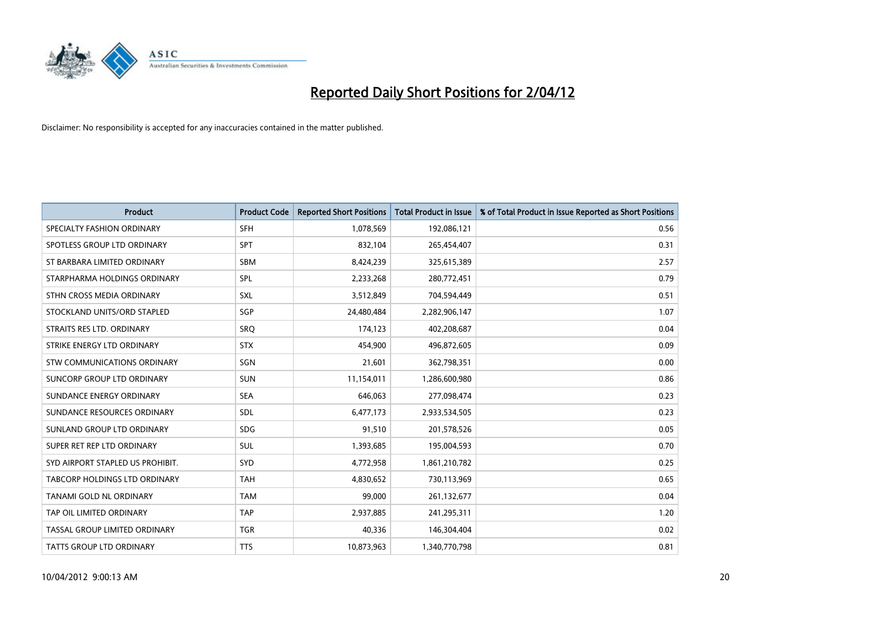

| <b>Product</b>                   | <b>Product Code</b> | <b>Reported Short Positions</b> | <b>Total Product in Issue</b> | % of Total Product in Issue Reported as Short Positions |
|----------------------------------|---------------------|---------------------------------|-------------------------------|---------------------------------------------------------|
| SPECIALTY FASHION ORDINARY       | <b>SFH</b>          | 1,078,569                       | 192,086,121                   | 0.56                                                    |
| SPOTLESS GROUP LTD ORDINARY      | <b>SPT</b>          | 832,104                         | 265,454,407                   | 0.31                                                    |
| ST BARBARA LIMITED ORDINARY      | <b>SBM</b>          | 8,424,239                       | 325,615,389                   | 2.57                                                    |
| STARPHARMA HOLDINGS ORDINARY     | SPL                 | 2,233,268                       | 280,772,451                   | 0.79                                                    |
| STHN CROSS MEDIA ORDINARY        | <b>SXL</b>          | 3,512,849                       | 704,594,449                   | 0.51                                                    |
| STOCKLAND UNITS/ORD STAPLED      | SGP                 | 24,480,484                      | 2,282,906,147                 | 1.07                                                    |
| STRAITS RES LTD. ORDINARY        | SRQ                 | 174,123                         | 402,208,687                   | 0.04                                                    |
| STRIKE ENERGY LTD ORDINARY       | <b>STX</b>          | 454,900                         | 496,872,605                   | 0.09                                                    |
| STW COMMUNICATIONS ORDINARY      | SGN                 | 21,601                          | 362,798,351                   | 0.00                                                    |
| SUNCORP GROUP LTD ORDINARY       | <b>SUN</b>          | 11,154,011                      | 1,286,600,980                 | 0.86                                                    |
| SUNDANCE ENERGY ORDINARY         | <b>SEA</b>          | 646,063                         | 277,098,474                   | 0.23                                                    |
| SUNDANCE RESOURCES ORDINARY      | <b>SDL</b>          | 6,477,173                       | 2,933,534,505                 | 0.23                                                    |
| SUNLAND GROUP LTD ORDINARY       | <b>SDG</b>          | 91,510                          | 201,578,526                   | 0.05                                                    |
| SUPER RET REP LTD ORDINARY       | SUL                 | 1,393,685                       | 195,004,593                   | 0.70                                                    |
| SYD AIRPORT STAPLED US PROHIBIT. | SYD                 | 4,772,958                       | 1,861,210,782                 | 0.25                                                    |
| TABCORP HOLDINGS LTD ORDINARY    | <b>TAH</b>          | 4,830,652                       | 730,113,969                   | 0.65                                                    |
| TANAMI GOLD NL ORDINARY          | <b>TAM</b>          | 99,000                          | 261,132,677                   | 0.04                                                    |
| TAP OIL LIMITED ORDINARY         | <b>TAP</b>          | 2,937,885                       | 241,295,311                   | 1.20                                                    |
| TASSAL GROUP LIMITED ORDINARY    | <b>TGR</b>          | 40,336                          | 146,304,404                   | 0.02                                                    |
| <b>TATTS GROUP LTD ORDINARY</b>  | <b>TTS</b>          | 10,873,963                      | 1,340,770,798                 | 0.81                                                    |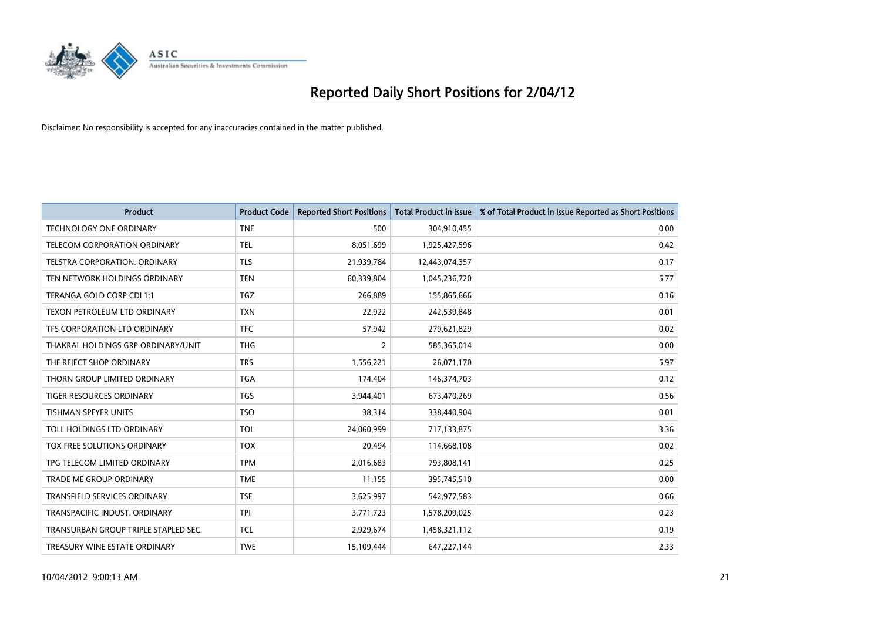

| <b>Product</b>                       | <b>Product Code</b> | <b>Reported Short Positions</b> | <b>Total Product in Issue</b> | % of Total Product in Issue Reported as Short Positions |
|--------------------------------------|---------------------|---------------------------------|-------------------------------|---------------------------------------------------------|
| <b>TECHNOLOGY ONE ORDINARY</b>       | <b>TNE</b>          | 500                             | 304,910,455                   | 0.00                                                    |
| TELECOM CORPORATION ORDINARY         | <b>TEL</b>          | 8,051,699                       | 1,925,427,596                 | 0.42                                                    |
| <b>TELSTRA CORPORATION, ORDINARY</b> | <b>TLS</b>          | 21,939,784                      | 12,443,074,357                | 0.17                                                    |
| TEN NETWORK HOLDINGS ORDINARY        | <b>TEN</b>          | 60,339,804                      | 1,045,236,720                 | 5.77                                                    |
| TERANGA GOLD CORP CDI 1:1            | TGZ                 | 266,889                         | 155,865,666                   | 0.16                                                    |
| TEXON PETROLEUM LTD ORDINARY         | <b>TXN</b>          | 22,922                          | 242,539,848                   | 0.01                                                    |
| TFS CORPORATION LTD ORDINARY         | <b>TFC</b>          | 57,942                          | 279,621,829                   | 0.02                                                    |
| THAKRAL HOLDINGS GRP ORDINARY/UNIT   | <b>THG</b>          | $\overline{2}$                  | 585,365,014                   | 0.00                                                    |
| THE REJECT SHOP ORDINARY             | <b>TRS</b>          | 1,556,221                       | 26,071,170                    | 5.97                                                    |
| THORN GROUP LIMITED ORDINARY         | <b>TGA</b>          | 174,404                         | 146,374,703                   | 0.12                                                    |
| TIGER RESOURCES ORDINARY             | <b>TGS</b>          | 3,944,401                       | 673,470,269                   | 0.56                                                    |
| <b>TISHMAN SPEYER UNITS</b>          | <b>TSO</b>          | 38,314                          | 338,440,904                   | 0.01                                                    |
| TOLL HOLDINGS LTD ORDINARY           | <b>TOL</b>          | 24,060,999                      | 717,133,875                   | 3.36                                                    |
| TOX FREE SOLUTIONS ORDINARY          | <b>TOX</b>          | 20,494                          | 114,668,108                   | 0.02                                                    |
| TPG TELECOM LIMITED ORDINARY         | <b>TPM</b>          | 2,016,683                       | 793,808,141                   | 0.25                                                    |
| TRADE ME GROUP ORDINARY              | <b>TME</b>          | 11,155                          | 395,745,510                   | 0.00                                                    |
| TRANSFIELD SERVICES ORDINARY         | <b>TSE</b>          | 3,625,997                       | 542,977,583                   | 0.66                                                    |
| TRANSPACIFIC INDUST. ORDINARY        | <b>TPI</b>          | 3,771,723                       | 1,578,209,025                 | 0.23                                                    |
| TRANSURBAN GROUP TRIPLE STAPLED SEC. | <b>TCL</b>          | 2,929,674                       | 1,458,321,112                 | 0.19                                                    |
| TREASURY WINE ESTATE ORDINARY        | <b>TWE</b>          | 15,109,444                      | 647,227,144                   | 2.33                                                    |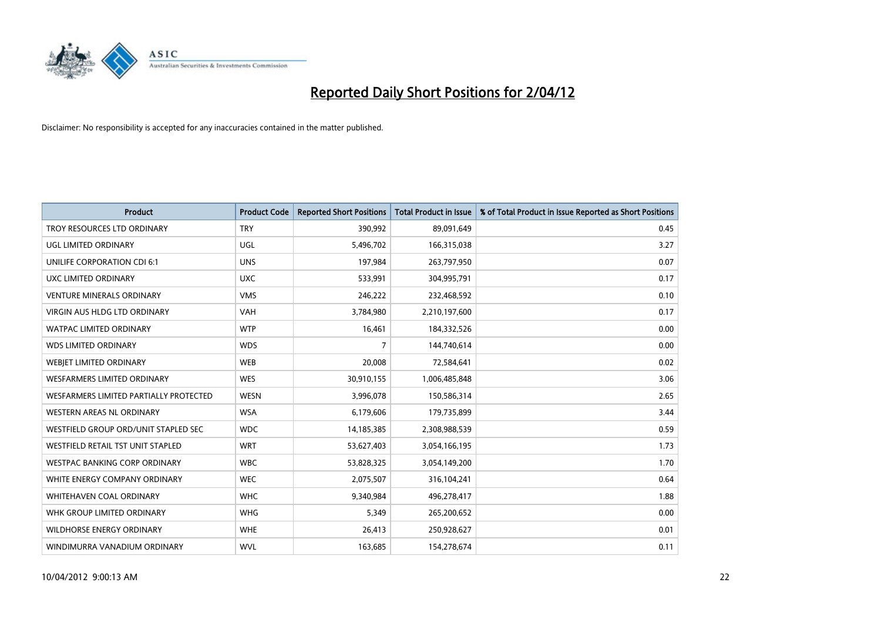

| <b>Product</b>                         | <b>Product Code</b> | <b>Reported Short Positions</b> | <b>Total Product in Issue</b> | % of Total Product in Issue Reported as Short Positions |
|----------------------------------------|---------------------|---------------------------------|-------------------------------|---------------------------------------------------------|
| TROY RESOURCES LTD ORDINARY            | <b>TRY</b>          | 390,992                         | 89,091,649                    | 0.45                                                    |
| UGL LIMITED ORDINARY                   | <b>UGL</b>          | 5,496,702                       | 166,315,038                   | 3.27                                                    |
| UNILIFE CORPORATION CDI 6:1            | <b>UNS</b>          | 197,984                         | 263,797,950                   | 0.07                                                    |
| UXC LIMITED ORDINARY                   | <b>UXC</b>          | 533,991                         | 304,995,791                   | 0.17                                                    |
| <b>VENTURE MINERALS ORDINARY</b>       | <b>VMS</b>          | 246,222                         | 232,468,592                   | 0.10                                                    |
| <b>VIRGIN AUS HLDG LTD ORDINARY</b>    | <b>VAH</b>          | 3,784,980                       | 2,210,197,600                 | 0.17                                                    |
| WATPAC LIMITED ORDINARY                | <b>WTP</b>          | 16,461                          | 184,332,526                   | 0.00                                                    |
| <b>WDS LIMITED ORDINARY</b>            | <b>WDS</b>          | $\overline{7}$                  | 144,740,614                   | 0.00                                                    |
| WEBIET LIMITED ORDINARY                | <b>WEB</b>          | 20,008                          | 72,584,641                    | 0.02                                                    |
| WESFARMERS LIMITED ORDINARY            | <b>WES</b>          | 30,910,155                      | 1,006,485,848                 | 3.06                                                    |
| WESFARMERS LIMITED PARTIALLY PROTECTED | <b>WESN</b>         | 3,996,078                       | 150,586,314                   | 2.65                                                    |
| WESTERN AREAS NL ORDINARY              | <b>WSA</b>          | 6,179,606                       | 179,735,899                   | 3.44                                                    |
| WESTFIELD GROUP ORD/UNIT STAPLED SEC   | <b>WDC</b>          | 14,185,385                      | 2,308,988,539                 | 0.59                                                    |
| WESTFIELD RETAIL TST UNIT STAPLED      | <b>WRT</b>          | 53,627,403                      | 3,054,166,195                 | 1.73                                                    |
| <b>WESTPAC BANKING CORP ORDINARY</b>   | <b>WBC</b>          | 53,828,325                      | 3,054,149,200                 | 1.70                                                    |
| WHITE ENERGY COMPANY ORDINARY          | <b>WEC</b>          | 2,075,507                       | 316,104,241                   | 0.64                                                    |
| <b>WHITEHAVEN COAL ORDINARY</b>        | <b>WHC</b>          | 9,340,984                       | 496,278,417                   | 1.88                                                    |
| WHK GROUP LIMITED ORDINARY             | <b>WHG</b>          | 5,349                           | 265,200,652                   | 0.00                                                    |
| <b>WILDHORSE ENERGY ORDINARY</b>       | <b>WHE</b>          | 26,413                          | 250,928,627                   | 0.01                                                    |
| WINDIMURRA VANADIUM ORDINARY           | <b>WVL</b>          | 163,685                         | 154,278,674                   | 0.11                                                    |